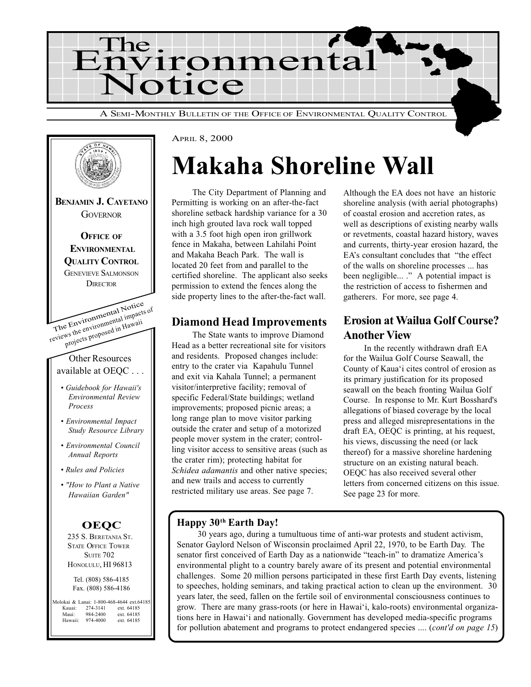



## Makaha Shoreline Wall

The City Department of Planning and Permitting is working on an after-the-fact shoreline setback hardship variance for a 30 inch high grouted lava rock wall topped with a 3.5 foot high open iron grillwork fence in Makaha, between Lahilahi Point and Makaha Beach Park. The wall is located 20 feet from and parallel to the certified shoreline. The applicant also seeks permission to extend the fences along the side property lines to the after-the-fact wall.

### Diamond Head Improvements

The State wants to improve Diamond Head as a better recreational site for visitors and residents. Proposed changes include: entry to the crater via Kapahulu Tunnel and exit via Kahala Tunnel; a permanent visitor/interpretive facility; removal of specific Federal/State buildings; wetland improvements; proposed picnic areas; a long range plan to move visitor parking outside the crater and setup of a motorized people mover system in the crater; controlling visitor access to sensitive areas (such as the crater rim); protecting habitat for Schidea adamantis and other native species; and new trails and access to currently restricted military use areas. See page 7.

Although the EA does not have an historic shoreline analysis (with aerial photographs) of coastal erosion and accretion rates, as well as descriptions of existing nearby walls or revetments, coastal hazard history, waves and currents, thirty-year erosion hazard, the EA's consultant concludes that "the effect" of the walls on shoreline processes ... has been negligible... ." A potential impact is the restriction of access to fishermen and gatherers. For more, see page 4.

### Erosion at Wailua Golf Course? Another View

In the recently withdrawn draft EA for the Wailua Golf Course Seawall, the County of Kaua'i cites control of erosion as its primary justification for its proposed seawall on the beach fronting Wailua Golf Course. In response to Mr. Kurt Bosshard's allegations of biased coverage by the local press and alleged misrepresentations in the draft EA, OEQC is printing, at his request, his views, discussing the need (or lack thereof) for a massive shoreline hardening structure on an existing natural beach. OEQC has also received several other letters from concerned citizens on this issue. See page 23 for more.

### Happy 30th Earth Day!

30 years ago, during a tumultuous time of anti-war protests and student activism, Senator Gaylord Nelson of Wisconsin proclaimed April 22, 1970, to be Earth Day. The senator first conceived of Earth Day as a nationwide "teach-in" to dramatize America's environmental plight to a country barely aware of its present and potential environmental challenges. Some 20 million persons participated in these first Earth Day events, listening to speeches, holding seminars, and taking practical action to clean up the environment. 30 years later, the seed, fallen on the fertile soil of environmental consciousness continues to grow. There are many grass-roots (or here in Hawai'i, kalo-roots) environmental organizations here in Hawai'i and nationally. Government has developed media-specific programs for pollution abatement and programs to protect endangered species .... (*cont'd on page 15*)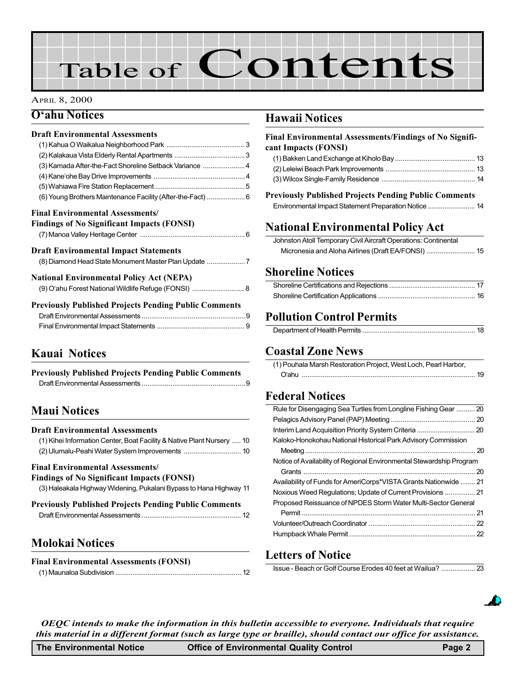# Table of Contents

#### APRIL 8, 2000

### **O'ahu Notices**

| <b>Draft Environmental Assessments</b>                                                                  |  |
|---------------------------------------------------------------------------------------------------------|--|
|                                                                                                         |  |
|                                                                                                         |  |
| (3) Kamada After-the-Fact Shoreline Setback Variance  4                                                 |  |
|                                                                                                         |  |
|                                                                                                         |  |
| (6) Young Brothers Maintenance Facility (After-the-Fact)  6                                             |  |
| <b>Final Environmental Assessments</b><br><b>Findings of No Significant Impacts (FONSI)</b>             |  |
| <b>Draft Environmental Impact Statements</b><br>(8) Diamond Head State Monument Master Plan Update      |  |
| <b>National Environmental Policy Act (NEPA)</b><br>(9) O'ahu Forest National Wildlife Refuge (FONSI)  8 |  |
| <b>Previously Published Projects Pending Public Comments</b>                                            |  |
|                                                                                                         |  |
|                                                                                                         |  |

### Kauai Notices

| <b>Previously Published Projects Pending Public Comments</b> |  |
|--------------------------------------------------------------|--|
|                                                              |  |

### Maui Notices

| (1) Kihei Information Center, Boat Facility & Native Plant Nursery  10 |  |
|------------------------------------------------------------------------|--|
|                                                                        |  |

#### Final Environmental Assessments/

Findings of No Significant Impacts (FONSI)

| (3) Haleakala Highway Widening, Pukalani Bypass to Hana Highway 11 |
|--------------------------------------------------------------------|
|--------------------------------------------------------------------|

| <b>Previously Published Projects Pending Public Comments</b> |  |
|--------------------------------------------------------------|--|
|                                                              |  |

### Molokai Notices

| <b>Final Environmental Assessments (FONSI)</b> |  |
|------------------------------------------------|--|
|                                                |  |

### Hawaii Notices

| Final Environmental Assessments/Findings of No Signifi-<br>cant Impacts (FONSI) |  |
|---------------------------------------------------------------------------------|--|
|                                                                                 |  |
|                                                                                 |  |
|                                                                                 |  |
| <b>Previously Published Projects Pending Public Comments</b>                    |  |

### [National Environmental Policy Act](#page-14-0)

| Johnston Atoll Temporary Civil Aircraft Operations: Continental |  |
|-----------------------------------------------------------------|--|
|                                                                 |  |

#### Shoreline Notices

### Pollution Control Permits

|--|--|--|--|

### Coastal Zone News

| (1) Pouhala Marsh Restoration Project, West Loch, Pearl Harbor, |  |
|-----------------------------------------------------------------|--|
|                                                                 |  |

### Federal Notices

| Rule for Disengaging Sea Turtles from Longline Fishing Gear          | 20 |
|----------------------------------------------------------------------|----|
|                                                                      |    |
| Interim Land Acquisition Priority System Criteria  20                |    |
| Kaloko-Honokohau National Historical Park Advisory Commission        |    |
|                                                                      |    |
| Notice of Availability of Regional Environmental Stewardship Program |    |
|                                                                      |    |
| Availability of Funds for AmeriCorps*VISTA Grants Nationwide  21     |    |
| Noxious Weed Regulations; Update of Current Provisions  21           |    |
| Proposed Reissuance of NPDES Storm Water Multi-Sector General        |    |
|                                                                      |    |
|                                                                      |    |
|                                                                      |    |
|                                                                      |    |

### Letters of Notice

Issue - Beach or Golf Course Erodes 40 feet at Wailua? .................. 23

OEQC intends to make the information in this bulletin accessible to everyone. Individuals that require this material in a different format (such as large type or braille), should contact our office for assistance.

| The Environmental Notice | <b>Office of Environmental Quality Control</b> | Page 2 |
|--------------------------|------------------------------------------------|--------|
|--------------------------|------------------------------------------------|--------|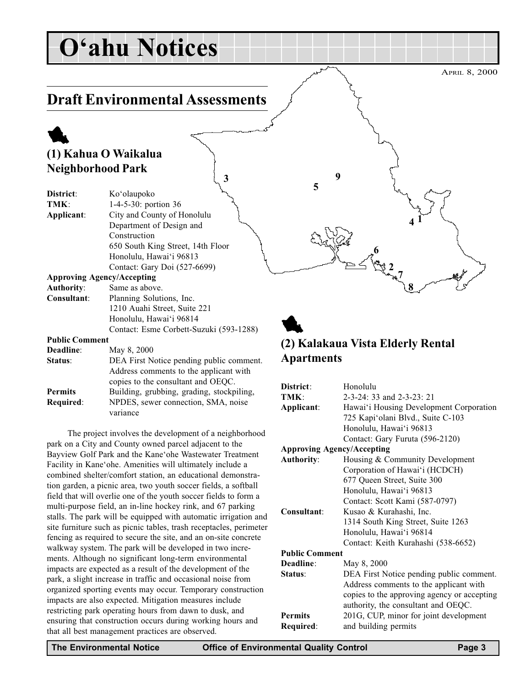## <span id="page-2-0"></span>O'ahu Notices

### Draft Environmental Assessments

3



### (1) Kahua O Waikalua Neighborhood Park

| District:             | Ko'olaupoko                             |
|-----------------------|-----------------------------------------|
| TMK:                  | 1-4-5-30: portion 36                    |
| Applicant:            | City and County of Honolulu             |
|                       | Department of Design and                |
|                       | Construction                            |
|                       | 650 South King Street, 14th Floor       |
|                       | Honolulu, Hawai'i 96813                 |
|                       | Contact: Gary Doi (527-6699)            |
|                       | <b>Approving Agency/Accepting</b>       |
| <b>Authority:</b>     | Same as above.                          |
| Consultant:           | Planning Solutions, Inc.                |
|                       | 1210 Auahi Street, Suite 221            |
|                       | Honolulu, Hawai'i 96814                 |
|                       | Contact: Esme Corbett-Suzuki (593-1288) |
| <b>Public Comment</b> |                                         |
| Deadline:             | May 8, 2000                             |
|                       |                                         |

Status: DEA First Notice pending public comment. Address comments to the applicant with copies to the consultant and OEQC. Permits Building, grubbing, grading, stockpiling, Required: NPDES, sewer connection, SMA, noise variance

The project involves the development of a neighborhood park on a City and County owned parcel adjacent to the Bayview Golf Park and the Kane'ohe Wastewater Treatment Facility in Kane'ohe. Amenities will ultimately include a combined shelter/comfort station, an educational demonstration garden, a picnic area, two youth soccer fields, a softball field that will overlie one of the youth soccer fields to form a multi-purpose field, an in-line hockey rink, and 67 parking stalls. The park will be equipped with automatic irrigation and site furniture such as picnic tables, trash receptacles, perimeter fencing as required to secure the site, and an on-site concrete walkway system. The park will be developed in two increments. Although no significant long-term environmental impacts are expected as a result of the development of the park, a slight increase in traffic and occasional noise from organized sporting events may occur. Temporary construction impacts are also expected. Mitigation measures include restricting park operating hours from dawn to dusk, and ensuring that construction occurs during working hours and that all best management practices are observed.

### 1 (2) Kalakaua Vista Elderly Rental Apartments

5

9

2

7

8

 $\frac{1}{4}$ 

6

| District:                         | Honolulu                                    |
|-----------------------------------|---------------------------------------------|
| TMK:                              | 2-3-24: 33 and 2-3-23: 21                   |
| Applicant:                        | Hawai'i Housing Development Corporation     |
|                                   | 725 Kapi'olani Blvd., Suite C-103           |
|                                   | Honolulu, Hawai'i 96813                     |
|                                   | Contact: Gary Furuta (596-2120)             |
| <b>Approving Agency/Accepting</b> |                                             |
| <b>Authority:</b>                 | Housing & Community Development             |
|                                   | Corporation of Hawai'i (HCDCH)              |
|                                   | 677 Queen Street, Suite 300                 |
|                                   | Honolulu, Hawai'i 96813                     |
|                                   | Contact: Scott Kami (587-0797)              |
| Consultant:                       | Kusao & Kurahashi, Inc.                     |
|                                   | 1314 South King Street, Suite 1263          |
|                                   | Honolulu, Hawai'i 96814                     |
|                                   | Contact: Keith Kurahashi (538-6652)         |
| <b>Public Comment</b>             |                                             |
| Deadline:                         | May 8, 2000                                 |
| Status:                           | DEA First Notice pending public comment.    |
|                                   | Address comments to the applicant with      |
|                                   | copies to the approving agency or accepting |
|                                   | authority, the consultant and OEQC.         |
| <b>Permits</b>                    | 201G, CUP, minor for joint development      |
| Required:                         | and building permits                        |

APRIL 8, 2000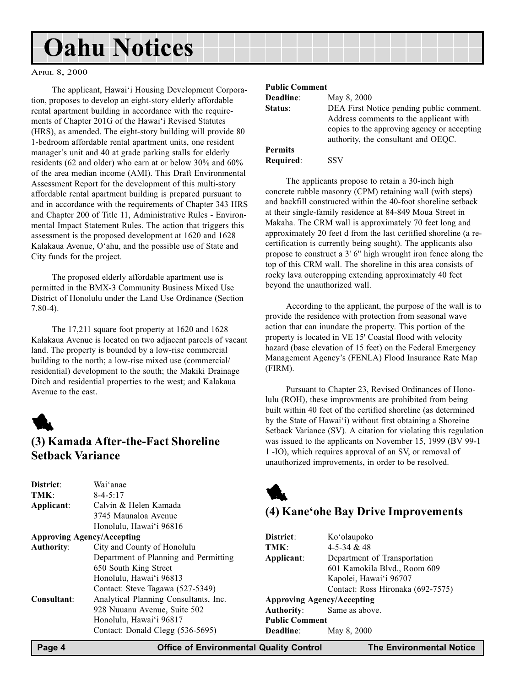## <span id="page-3-0"></span>Oahu Notices

#### APRIL 8, 2000

The applicant, Hawai'i Housing Development Corporation, proposes to develop an eight-story elderly affordable rental apartment building in accordance with the requirements of Chapter 201G of the Hawai'i Revised Statutes (HRS), as amended. The eight-story building will provide 80 1-bedroom affordable rental apartment units, one resident manager's unit and 40 at grade parking stalls for elderly residents (62 and older) who earn at or below 30% and 60% of the area median income (AMI). This Draft Environmental Assessment Report for the development of this multi-story affordable rental apartment building is prepared pursuant to and in accordance with the requirements of Chapter 343 HRS and Chapter 200 of Title 11, Administrative Rules - Environmental Impact Statement Rules. The action that triggers this assessment is the proposed development at 1620 and 1628 Kalakaua Avenue, O'ahu, and the possible use of State and City funds for the project.

The proposed elderly affordable apartment use is permitted in the BMX-3 Community Business Mixed Use District of Honolulu under the Land Use Ordinance (Section 7.80-4).

The 17,211 square foot property at 1620 and 1628 Kalakaua Avenue is located on two adjacent parcels of vacant land. The property is bounded by a low-rise commercial building to the north; a low-rise mixed use (commercial/ residential) development to the south; the Makiki Drainage Ditch and residential properties to the west; and Kalakaua Avenue to the east.



### (3) Kamada After-the-Fact Shoreline Setback Variance

| District:                                                                                 | Wai'anae                              |                       |                                   |
|-------------------------------------------------------------------------------------------|---------------------------------------|-----------------------|-----------------------------------|
| TMK:                                                                                      | $8-4-5:17$                            |                       |                                   |
| Applicant:                                                                                | Calvin & Helen Kamada                 |                       |                                   |
|                                                                                           | 3745 Maunaloa Avenue                  |                       | (4) Kane'ohe Bay Drive Improvemen |
|                                                                                           | Honolulu, Hawai'i 96816               |                       |                                   |
|                                                                                           | <b>Approving Agency/Accepting</b>     | District:             | Ko'olaupoko                       |
| Authority:                                                                                | City and County of Honolulu           | TMK:                  | $4 - 5 - 34$ & 48                 |
|                                                                                           | Department of Planning and Permitting | Applicant:            | Department of Transportation      |
|                                                                                           | 650 South King Street                 |                       | 601 Kamokila Blvd., Room 609      |
|                                                                                           | Honolulu, Hawai'i 96813               |                       | Kapolei, Hawai'i 96707            |
|                                                                                           | Contact: Steve Tagawa (527-5349)      |                       | Contact: Ross Hironaka (692-7575) |
| Consultant:<br>Analytical Planning Consultants, Inc.<br><b>Approving Agency/Accepting</b> |                                       |                       |                                   |
|                                                                                           | 928 Nuuanu Avenue, Suite 502          | <b>Authority:</b>     | Same as above.                    |
|                                                                                           | Honolulu, Hawai'i 96817               | <b>Public Comment</b> |                                   |
|                                                                                           | Contact: Donald Clegg (536-5695)      | Deadline:             | May 8, 2000                       |
|                                                                                           |                                       |                       |                                   |

#### Public Comment

| <b>Deadline:</b> | May 8, 2000                                 |
|------------------|---------------------------------------------|
| <b>Status:</b>   | DEA First Notice pending public comment.    |
|                  | Address comments to the applicant with      |
|                  | copies to the approving agency or accepting |
|                  | authority, the consultant and OEQC.         |
| Permits          |                                             |

Required: SSV

The applicants propose to retain a 30-inch high concrete rubble masonry (CPM) retaining wall (with steps) and backfill constructed within the 40-foot shoreline setback at their single-family residence at 84-849 Moua Street in Makaha. The CRM wall is approximately 70 feet long and approximately 20 feet d from the last certified shoreline (a recertification is currently being sought). The applicants also propose to construct a 3' 6" high wrought iron fence along the top of this CRM wall. The shoreline in this area consists of rocky lava outcropping extending approximately 40 feet beyond the unauthorized wall.

According to the applicant, the purpose of the wall is to provide the residence with protection from seasonal wave action that can inundate the property. This portion of the property is located in VE 15' Coastal flood with velocity hazard (base elevation of 15 feet) on the Federal Emergency Management Agency's (FENLA) Flood Insurance Rate Map (FIRM).

Pursuant to Chapter 23, Revised Ordinances of Honolulu (ROH), these improvments are prohibited from being built within 40 feet of the certified shoreline (as determined by the State of Hawai'i) without first obtaining a Shoreine Setback Variance (SV). A citation for violating this regulation was issued to the applicants on November 15, 1999 (BV 99-1 1 -IO), which requires approval of an SV, or removal of unauthorized improvements, in order to be resolved.

### 1provements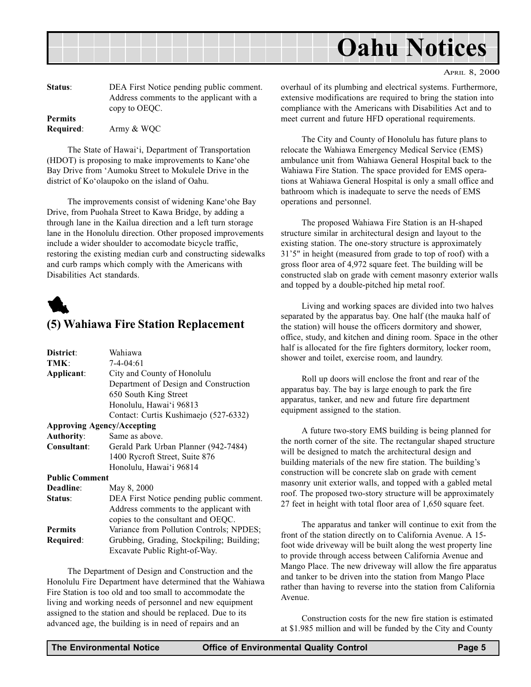<span id="page-4-0"></span>

Status: DEA First Notice pending public comment. Address comments to the applicant with a copy to OEQC. Permits

Required: Army & WQC

The State of Hawai'i, Department of Transportation (HDOT) is proposing to make improvements to Kane'ohe Bay Drive from 'Aumoku Street to Mokulele Drive in the district of Ko'olaupoko on the island of Oahu.

The improvements consist of widening Kane'ohe Bay Drive, from Puohala Street to Kawa Bridge, by adding a through lane in the Kailua direction and a left turn storage lane in the Honolulu direction. Other proposed improvements include a wider shoulder to accomodate bicycle traffic, restoring the existing median curb and constructing sidewalks and curb ramps which comply with the Americans with Disabilities Act standards.



### (5) Wahiawa Fire Station Replacement

| District:             | Wahiawa                                   |
|-----------------------|-------------------------------------------|
| TMK:                  | $7-4-04:61$                               |
| Applicant:            | City and County of Honolulu               |
|                       | Department of Design and Construction     |
|                       | 650 South King Street                     |
|                       | Honolulu, Hawai'i 96813                   |
|                       | Contact: Curtis Kushimaejo (527-6332)     |
|                       | <b>Approving Agency/Accepting</b>         |
| <b>Authority:</b>     | Same as above.                            |
| Consultant:           | Gerald Park Urban Planner (942-7484)      |
|                       | 1400 Rycroft Street, Suite 876            |
|                       | Honolulu, Hawai'i 96814                   |
| <b>Public Comment</b> |                                           |
| Deadline:             | May 8, 2000                               |
| Status:               | DEA First Notice pending public comment.  |
|                       | Address comments to the applicant with    |
|                       | copies to the consultant and OEQC.        |
| <b>Permits</b>        | Variance from Pollution Controls; NPDES;  |
| Required:             | Grubbing, Grading, Stockpiling; Building; |
|                       | Excavate Public Right-of-Way.             |
|                       |                                           |
|                       |                                           |

The Department of Design and Construction and the Honolulu Fire Department have determined that the Wahiawa Fire Station is too old and too small to accommodate the living and working needs of personnel and new equipment assigned to the station and should be replaced. Due to its advanced age, the building is in need of repairs and an

overhaul of its plumbing and electrical systems. Furthermore, extensive modifications are required to bring the station into compliance with the Americans with Disabilities Act and to meet current and future HFD operational requirements.

The City and County of Honolulu has future plans to relocate the Wahiawa Emergency Medical Service (EMS) ambulance unit from Wahiawa General Hospital back to the Wahiawa Fire Station. The space provided for EMS operations at Wahiawa General Hospital is only a small office and bathroom which is inadequate to serve the needs of EMS operations and personnel.

The proposed Wahiawa Fire Station is an H-shaped structure similar in architectural design and layout to the existing station. The one-story structure is approximately 315" in height (measured from grade to top of roof) with a gross floor area of 4,972 square feet. The building will be constructed slab on grade with cement masonry exterior walls and topped by a double-pitched hip metal roof.

Living and working spaces are divided into two halves separated by the apparatus bay. One half (the mauka half of the station) will house the officers dormitory and shower, office, study, and kitchen and dining room. Space in the other half is allocated for the fire fighters dormitory, locker room, shower and toilet, exercise room, and laundry.

Roll up doors will enclose the front and rear of the apparatus bay. The bay is large enough to park the fire apparatus, tanker, and new and future fire department equipment assigned to the station.

A future two-story EMS building is being planned for the north corner of the site. The rectangular shaped structure will be designed to match the architectural design and building materials of the new fire station. The building's construction will be concrete slab on grade with cement masonry unit exterior walls, and topped with a gabled metal roof. The proposed two-story structure will be approximately 27 feet in height with total floor area of 1,650 square feet.

The apparatus and tanker will continue to exit from the front of the station directly on to California Avenue. A 15 foot wide driveway will be built along the west property line to provide through access between California Avenue and Mango Place. The new driveway will allow the fire apparatus and tanker to be driven into the station from Mango Place rather than having to reverse into the station from California Avenue.

Construction costs for the new fire station is estimated at \$1.985 million and will be funded by the City and County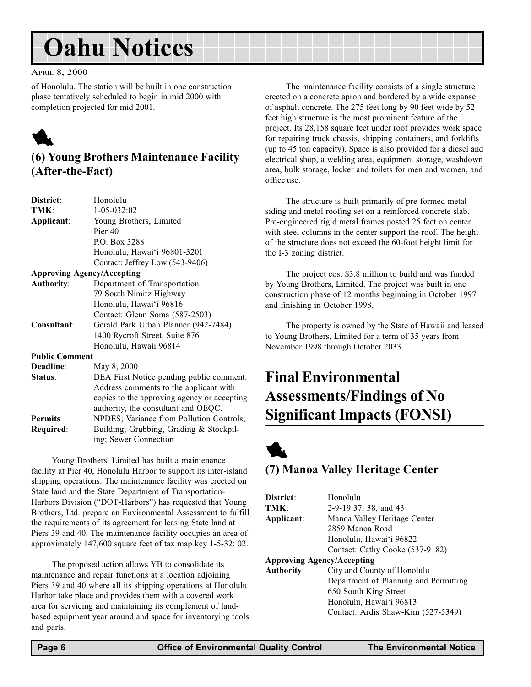## <span id="page-5-0"></span>Oahu Notices

#### APRIL 8, 2000

of Honolulu. The station will be built in one construction phase tentatively scheduled to begin in mid 2000 with completion projected for mid 2001.

### 1

### (6) Young Brothers Maintenance Facility (After-the-Fact)

| District:             | Honolulu                                    |
|-----------------------|---------------------------------------------|
| TMK:                  | $1 - 0.5 - 0.32:02$                         |
| Applicant:            | Young Brothers, Limited                     |
|                       | Pier 40                                     |
|                       | P.O. Box 3288                               |
|                       | Honolulu, Hawai'i 96801-3201                |
|                       | Contact: Jeffrey Low (543-9406)             |
|                       | <b>Approving Agency/Accepting</b>           |
| <b>Authority:</b>     | Department of Transportation                |
|                       | 79 South Nimitz Highway                     |
|                       | Honolulu, Hawai'i 96816                     |
|                       | Contact: Glenn Soma (587-2503)              |
| Consultant:           | Gerald Park Urban Planner (942-7484)        |
|                       | 1400 Rycroft Street, Suite 876              |
|                       | Honolulu, Hawaii 96814                      |
| <b>Public Comment</b> |                                             |
| Deadline:             | May 8, 2000                                 |
| Status:               | DEA First Notice pending public comment.    |
|                       | Address comments to the applicant with      |
|                       | copies to the approving agency or accepting |
|                       | authority, the consultant and OEQC.         |
| <b>Permits</b>        | NPDES; Variance from Pollution Controls;    |
| Required:             | Building; Grubbing, Grading & Stockpil-     |
|                       | ing; Sewer Connection                       |

Young Brothers, Limited has built a maintenance facility at Pier 40, Honolulu Harbor to support its inter-island shipping operations. The maintenance facility was erected on State land and the State Department of Transportation-Harbors Division ("DOT-Harbors") has requested that Young Brothers, Ltd. prepare an Environmental Assessment to fulfill the requirements of its agreement for leasing State land at Piers 39 and 40. The maintenance facility occupies an area of approximately 147,600 square feet of tax map key 1-5-32: 02.

The proposed action allows YB to consolidate its maintenance and repair functions at a location adjoining Piers 39 and 40 where all its shipping operations at Honolulu Harbor take place and provides them with a covered work area for servicing and maintaining its complement of landbased equipment year around and space for inventorying tools and parts.

The maintenance facility consists of a single structure erected on a concrete apron and bordered by a wide expanse of asphalt concrete. The 275 feet long by 90 feet wide by 52 feet high structure is the most prominent feature of the project. Its 28,158 square feet under roof provides work space for repairing truck chassis, shipping containers, and forklifts (up to 45 ton capacity). Space is also provided for a diesel and electrical shop, a welding area, equipment storage, washdown area, bulk storage, locker and toilets for men and women, and office use.

The structure is built primarily of pre-formed metal siding and metal roofing set on a reinforced concrete slab. Pre-engineered rigid metal frames posted 25 feet on center with steel columns in the center support the roof. The height of the structure does not exceed the 60-foot height limit for the I-3 zoning district.

The project cost \$3.8 million to build and was funded by Young Brothers, Limited. The project was built in one construction phase of 12 months beginning in October 1997 and finishing in October 1998.

The property is owned by the State of Hawaii and leased to Young Brothers, Limited for a term of 35 years from November 1998 through October 2033.

### Final Environmental Assessments/Findings of No Significant Impacts (FONSI)



### (7) Manoa Valley Heritage Center

| District:                         | Honolulu                              |
|-----------------------------------|---------------------------------------|
| TMK:                              | 2-9-19:37, 38, and 43                 |
| Applicant:                        | Manoa Valley Heritage Center          |
|                                   | 2859 Manoa Road                       |
|                                   | Honolulu, Hawai'i 96822               |
|                                   | Contact: Cathy Cooke (537-9182)       |
| <b>Approving Agency/Accepting</b> |                                       |
| <b>Authority:</b>                 | City and County of Honolulu           |
|                                   | Department of Planning and Permitting |
|                                   | 650 South King Street                 |
|                                   | Honolulu, Hawai'i 96813               |
|                                   | Contact: Ardis Shaw-Kim (527-5349)    |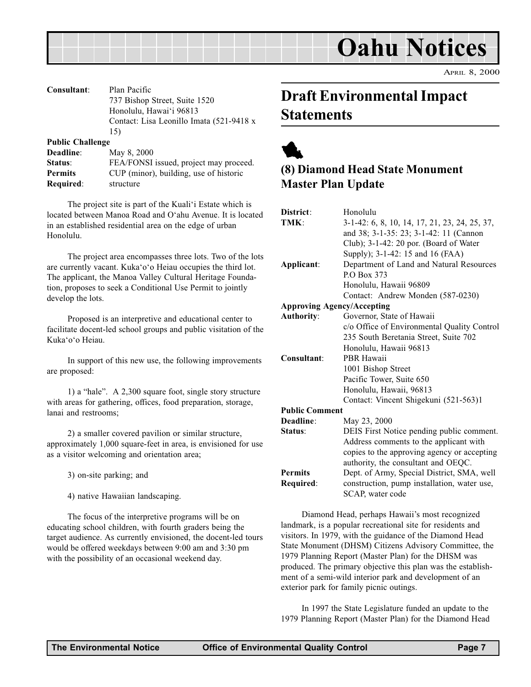<span id="page-6-0"></span>

| Consultant:             | Plan Pacific                             |
|-------------------------|------------------------------------------|
|                         | 737 Bishop Street, Suite 1520            |
|                         | Honolulu, Hawai'i 96813                  |
|                         | Contact: Lisa Leonillo Imata (521-9418 x |
|                         | 15)                                      |
| <b>Public Challenge</b> |                                          |
| <b>Deadline:</b>        | May 8, 2000                              |

| $1$ via y $0, 2000$                    |
|----------------------------------------|
| FEA/FONSI issued, project may proceed. |
| CUP (minor), building, use of historic |
| structure                              |
|                                        |

The project site is part of the Kuali'i Estate which is located between Manoa Road and O'ahu Avenue. It is located in an established residential area on the edge of urban Honolulu.

The project area encompasses three lots. Two of the lots are currently vacant. Kuka'o'o Heiau occupies the third lot. The applicant, the Manoa Valley Cultural Heritage Foundation, proposes to seek a Conditional Use Permit to jointly develop the lots.

Proposed is an interpretive and educational center to facilitate docent-led school groups and public visitation of the Kuka'o'o Heiau.

In support of this new use, the following improvements are proposed:

1) a "hale". A  $2,300$  square foot, single story structure with areas for gathering, offices, food preparation, storage, lanai and restrooms;

2) a smaller covered pavilion or similar structure, approximately 1,000 square-feet in area, is envisioned for use as a visitor welcoming and orientation area;

3) on-site parking; and

4) native Hawaiian landscaping.

The focus of the interpretive programs will be on educating school children, with fourth graders being the target audience. As currently envisioned, the docent-led tours would be offered weekdays between 9:00 am and 3:30 pm with the possibility of an occasional weekend day.

### Draft Environmental Impact **Statements**



### (8) Diamond Head State Monument Master Plan Update

| District:                         | Honolulu                                      |
|-----------------------------------|-----------------------------------------------|
| TMK:                              | 3-1-42: 6, 8, 10, 14, 17, 21, 23, 24, 25, 37, |
|                                   | and 38; 3-1-35: 23; 3-1-42: 11 (Cannon        |
|                                   | Club); 3-1-42: 20 por. (Board of Water        |
|                                   | Supply); 3-1-42: 15 and 16 (FAA)              |
| Applicant:                        | Department of Land and Natural Resources      |
|                                   | <b>P.O. Box 373</b>                           |
|                                   | Honolulu, Hawaii 96809                        |
|                                   | Contact: Andrew Monden (587-0230)             |
| <b>Approving Agency/Accepting</b> |                                               |
| <b>Authority:</b>                 | Governor, State of Hawaii                     |
|                                   | c/o Office of Environmental Quality Control   |
|                                   | 235 South Beretania Street, Suite 702         |
|                                   | Honolulu, Hawaii 96813                        |
| Consultant:                       | PBR Hawaii                                    |
|                                   | 1001 Bishop Street                            |
|                                   | Pacific Tower, Suite 650                      |
|                                   | Honolulu, Hawaii, 96813                       |
|                                   | Contact: Vincent Shigekuni (521-563)1         |
| <b>Public Comment</b>             |                                               |
| Deadline:                         | May 23, 2000                                  |
| Status:                           | DEIS First Notice pending public comment.     |
|                                   | Address comments to the applicant with        |
|                                   | copies to the approving agency or accepting   |
|                                   | authority, the consultant and OEQC.           |
| <b>Permits</b>                    | Dept. of Army, Special District, SMA, well    |
| Required:                         | construction, pump installation, water use,   |
|                                   | SCAP, water code                              |

Diamond Head, perhaps Hawaii's most recognized landmark, is a popular recreational site for residents and visitors. In 1979, with the guidance of the Diamond Head State Monument (DHSM) Citizens Advisory Committee, the 1979 Planning Report (Master Plan) for the DHSM was produced. The primary objective this plan was the establishment of a semi-wild interior park and development of an exterior park for family picnic outings.

In 1997 the State Legislature funded an update to the 1979 Planning Report (Master Plan) for the Diamond Head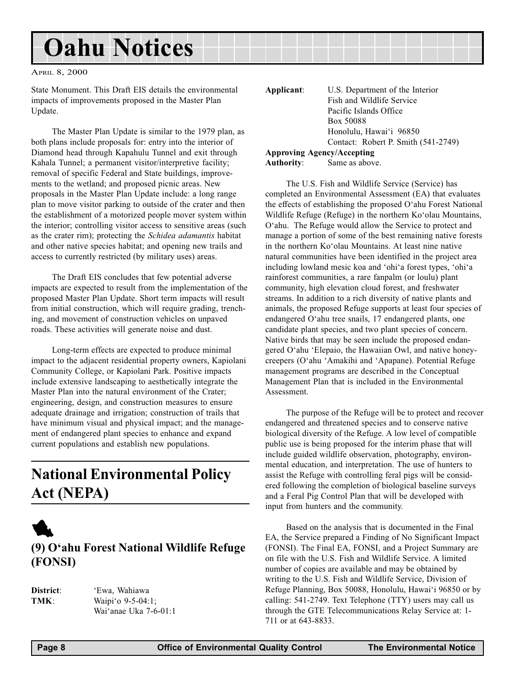## <span id="page-7-0"></span>Oahu Notices

#### APRIL 8, 2000

State Monument. This Draft EIS details the environmental impacts of improvements proposed in the Master Plan Update.

The Master Plan Update is similar to the 1979 plan, as both plans include proposals for: entry into the interior of Diamond head through Kapahulu Tunnel and exit through Kahala Tunnel; a permanent visitor/interpretive facility; removal of specific Federal and State buildings, improvements to the wetland; and proposed picnic areas. New proposals in the Master Plan Update include: a long range plan to move visitor parking to outside of the crater and then the establishment of a motorized people mover system within the interior; controlling visitor access to sensitive areas (such as the crater rim); protecting the Schidea adamantis habitat and other native species habitat; and opening new trails and access to currently restricted (by military uses) areas.

The Draft EIS concludes that few potential adverse impacts are expected to result from the implementation of the proposed Master Plan Update. Short term impacts will result from initial construction, which will require grading, trenching, and movement of construction vehicles on unpaved roads. These activities will generate noise and dust.

Long-term effects are expected to produce minimal impact to the adjacent residential property owners, Kapiolani Community College, or Kapiolani Park. Positive impacts include extensive landscaping to aesthetically integrate the Master Plan into the natural environment of the Crater; engineering, design, and construction measures to ensure adequate drainage and irrigation; construction of trails that have minimum visual and physical impact; and the management of endangered plant species to enhance and expand current populations and establish new populations.

### National Environmental Policy Act (NEPA)



(9) O'ahu Forest National Wildlife Refuge (FONSI)

| District: | 'Ewa,        |
|-----------|--------------|
| TMK:      | <b>Waipi</b> |
|           | Wai'a        |

Wahiawa  $\gamma$  9-5-04:1: nae Uka 7-6-01:1 Applicant: U.S. Department of the Interior Fish and Wildlife Service Pacific Islands Office Box 50088 Honolulu, Hawai'i 96850 Contact: Robert P. Smith (541-2749) Approving Agency/Accepting Authority: Same as above.

The U.S. Fish and Wildlife Service (Service) has completed an Environmental Assessment (EA) that evaluates the effects of establishing the proposed O'ahu Forest National Wildlife Refuge (Refuge) in the northern Ko'olau Mountains, O'ahu. The Refuge would allow the Service to protect and manage a portion of some of the best remaining native forests in the northern Ko'olau Mountains. At least nine native natural communities have been identified in the project area including lowland mesic koa and 'ohi'a forest types, 'ohi'a rainforest communities, a rare fanpalm (or loulu) plant community, high elevation cloud forest, and freshwater streams. In addition to a rich diversity of native plants and animals, the proposed Refuge supports at least four species of endangered O'ahu tree snails, 17 endangered plants, one candidate plant species, and two plant species of concern. Native birds that may be seen include the proposed endangered O'ahu 'Elepaio, the Hawaiian Owl, and native honeycreepers (O'ahu 'Amakihi and 'Apapane). Potential Refuge management programs are described in the Conceptual Management Plan that is included in the Environmental Assessment.

The purpose of the Refuge will be to protect and recover endangered and threatened species and to conserve native biological diversity of the Refuge. A low level of compatible public use is being proposed for the interim phase that will include guided wildlife observation, photography, environmental education, and interpretation. The use of hunters to assist the Refuge with controlling feral pigs will be considered following the completion of biological baseline surveys and a Feral Pig Control Plan that will be developed with input from hunters and the community.

Based on the analysis that is documented in the Final EA, the Service prepared a Finding of No Significant Impact (FONSI). The Final EA, FONSI, and a Project Summary are on file with the U.S. Fish and Wildlife Service. A limited number of copies are available and may be obtained by writing to the U.S. Fish and Wildlife Service, Division of Refuge Planning, Box 50088, Honolulu, Hawai'i 96850 or by calling: 541-2749. Text Telephone (TTY) users may call us through the GTE Telecommunications Relay Service at: 1- 711 or at 643-8833.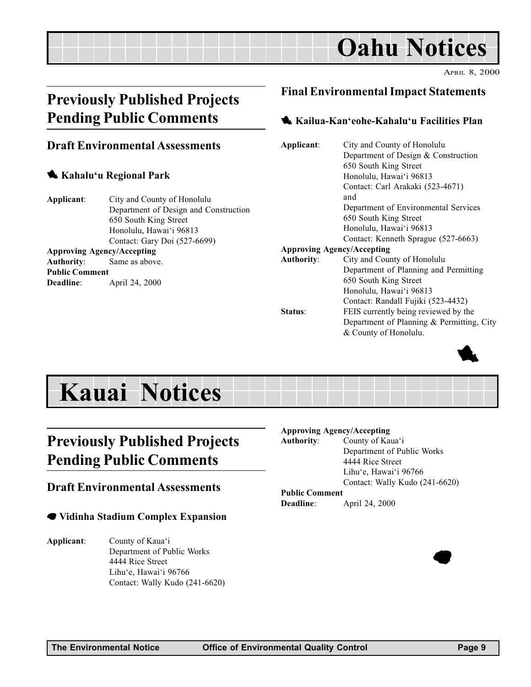## Oahu Notices

APRIL 8, 2000

### <span id="page-8-0"></span>Previously Published Projects Pending Public Comments

### Draft Environmental Assessments

### **Kahalu'u Regional Park**

| Applicant:            | City and County of Honolulu           |
|-----------------------|---------------------------------------|
|                       | Department of Design and Construction |
|                       | 650 South King Street                 |
|                       | Honolulu, Hawai'i 96813               |
|                       | Contact: Gary Doi (527-6699)          |
|                       | <b>Approving Agency/Accepting</b>     |
|                       | <b>Authority:</b> Same as above.      |
| <b>Public Comment</b> |                                       |
| Deadline:             | April 24, 2000                        |
|                       |                                       |

### Final Environmental Impact Statements

### **1 Kailua-Kan**'eohe-Kahalu'u Facilities Plan

| Applicant:                        | City and County of Honolulu               |
|-----------------------------------|-------------------------------------------|
|                                   | Department of Design & Construction       |
|                                   | 650 South King Street                     |
|                                   | Honolulu, Hawai'i 96813                   |
|                                   | Contact: Carl Arakaki (523-4671)          |
|                                   | and                                       |
|                                   | Department of Environmental Services      |
|                                   | 650 South King Street                     |
|                                   | Honolulu, Hawai'i 96813                   |
|                                   | Contact: Kenneth Sprague (527-6663)       |
| <b>Approving Agency/Accepting</b> |                                           |
| <b>Authority:</b>                 | City and County of Honolulu               |
|                                   | Department of Planning and Permitting     |
|                                   | 650 South King Street                     |
|                                   | Honolulu, Hawai'i 96813                   |
|                                   | Contact: Randall Fujiki (523-4432)        |
| Status:                           | FEIS currently being reviewed by the      |
|                                   | Department of Planning & Permitting, City |
|                                   | & County of Honolulu.                     |
|                                   |                                           |



## Kauai Notices

### Previously Published Projects Pending Public Comments

### Draft Environmental Assessments

#### 7 Vidinha Stadium Complex Expansion

Applicant: County of Kaua'i Department of Public Works 4444 Rice Street Lihu'e, Hawai'i 96766 Contact: Wally Kudo (241-6620)

#### Approving Agency/Accepting

| Authority:            | County of Kaua'i               |
|-----------------------|--------------------------------|
|                       | Department of Public Works     |
|                       | 4444 Rice Street               |
|                       | Lihu'e, Hawai'i 96766          |
|                       | Contact: Wally Kudo (241-6620) |
| <b>Public Comment</b> |                                |

#### Deadline: April 24, 2000

 $\bullet$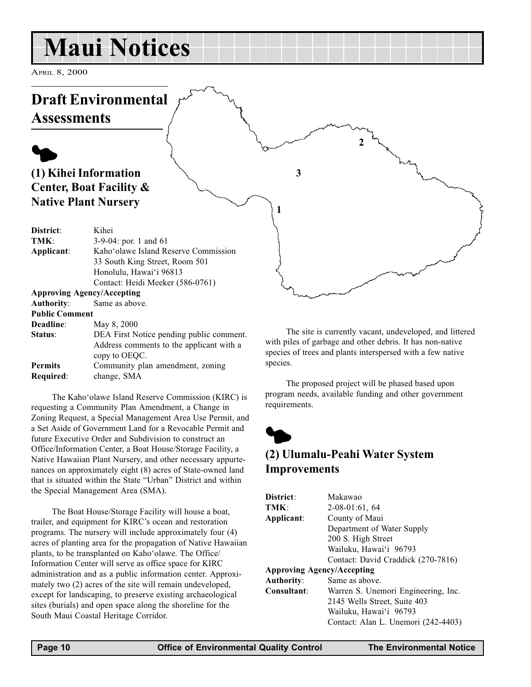## <span id="page-9-0"></span>Maui Notices

APRIL 8, 2000

### Draft Environmental

**Assessments** 

### $\blacklozenge$ (1) Kihei Information Center, Boat Facility & Native Plant Nursery

| District:                         | Kihei                                    |
|-----------------------------------|------------------------------------------|
| TMK:                              | $3-9-04$ : por. 1 and 61                 |
| Applicant:                        | Kaho'olawe Island Reserve Commission     |
|                                   | 33 South King Street, Room 501           |
|                                   | Honolulu, Hawai'i 96813                  |
|                                   | Contact: Heidi Meeker (586-0761)         |
| <b>Approving Agency/Accepting</b> |                                          |
| Authority:                        | Same as above.                           |
| <b>Public Comment</b>             |                                          |
| Deadline:                         | May 8, 2000                              |
| Status:                           | DEA First Notice pending public comment. |
|                                   | Address comments to the applicant with a |
|                                   | copy to OEQC.                            |
| <b>Permits</b>                    | Community plan amendment, zoning         |
| Required:                         | change, SMA                              |
|                                   |                                          |

The Kaho'olawe Island Reserve Commission (KIRC) is requesting a Community Plan Amendment, a Change in Zoning Request, a Special Management Area Use Permit, and a Set Aside of Government Land for a Revocable Permit and future Executive Order and Subdivision to construct an Office/Information Center, a Boat House/Storage Facility, a Native Hawaiian Plant Nursery, and other necessary appurtenances on approximately eight (8) acres of State-owned land that is situated within the State "Urban" District and within the Special Management Area (SMA).

The Boat House/Storage Facility will house a boat, trailer, and equipment for KIRC's ocean and restoration programs. The nursery will include approximately four (4) acres of planting area for the propagation of Native Hawaiian plants, to be transplanted on Kaho'olawe. The Office/ Information Center will serve as office space for KIRC administration and as a public information center. Approximately two (2) acres of the site will remain undeveloped, except for landscaping, to preserve existing archaeological sites (burials) and open space along the shoreline for the South Maui Coastal Heritage Corridor.

The site is currently vacant, undeveloped, and littered with piles of garbage and other debris. It has non-native species of trees and plants interspersed with a few native species.

2

3

1

The proposed project will be phased based upon program needs, available funding and other government requirements.



### (2) Ulumalu-Peahi Water System Improvements

| District:         | Makawao                             |
|-------------------|-------------------------------------|
| TMK:              | $2-08-01:61, 64$                    |
| Applicant:        | County of Maui                      |
|                   | Department of Water Supply          |
|                   | 200 S. High Street                  |
|                   | Wailuku, Hawai'i 96793              |
|                   | Contact: David Craddick (270-7816)  |
|                   | <b>Approving Agency/Accepting</b>   |
| <b>Authority:</b> | Same as above.                      |
| Consultant:       | Warren S. Unemori Engineering, Inc. |
|                   | 2145 Wells Street, Suite 403        |
|                   | Wailuku, Hawai'i 96793              |
|                   | Contact: Alan L. Unemori (242-4403) |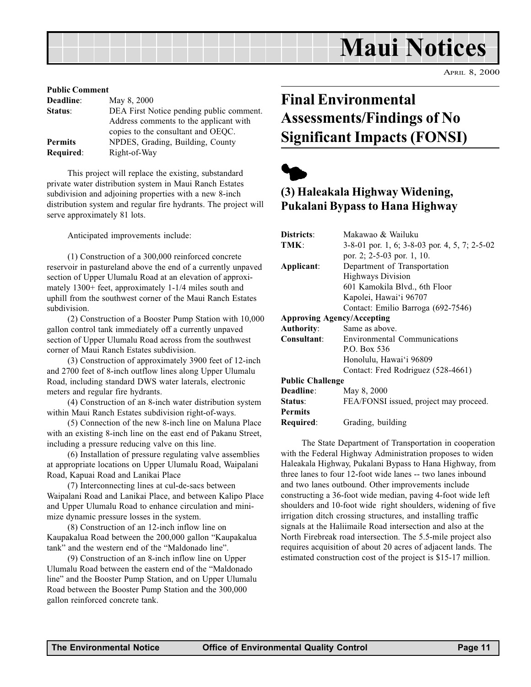<span id="page-10-0"></span>

#### Public Comment

| May 8, 2000                              |
|------------------------------------------|
| DEA First Notice pending public comment. |
| Address comments to the applicant with   |
| copies to the consultant and OEQC.       |
| NPDES, Grading, Building, County         |
| Right-of-Way                             |
|                                          |

This project will replace the existing, substandard private water distribution system in Maui Ranch Estates subdivision and adjoining properties with a new 8-inch distribution system and regular fire hydrants. The project will serve approximately 81 lots.

Anticipated improvements include:

(1) Construction of a 300,000 reinforced concrete reservoir in pastureland above the end of a currently unpaved section of Upper Ulumalu Road at an elevation of approximately 1300+ feet, approximately 1-1/4 miles south and uphill from the southwest corner of the Maui Ranch Estates subdivision.

(2) Construction of a Booster Pump Station with 10,000 gallon control tank immediately off a currently unpaved section of Upper Ulumalu Road across from the southwest corner of Maui Ranch Estates subdivision.

(3) Construction of approximately 3900 feet of 12-inch and 2700 feet of 8-inch outflow lines along Upper Ulumalu Road, including standard DWS water laterals, electronic meters and regular fire hydrants.

(4) Construction of an 8-inch water distribution system within Maui Ranch Estates subdivision right-of-ways.

(5) Connection of the new 8-inch line on Maluna Place with an existing 8-inch line on the east end of Pakanu Street, including a pressure reducing valve on this line.

(6) Installation of pressure regulating valve assemblies at appropriate locations on Upper Ulumalu Road, Waipalani Road, Kapuai Road and Lanikai Place

(7) Interconnecting lines at cul-de-sacs between Waipalani Road and Lanikai Place, and between Kalipo Place and Upper Ulumalu Road to enhance circulation and minimize dynamic pressure losses in the system.

(8) Construction of an 12-inch inflow line on Kaupakalua Road between the 200,000 gallon "Kaupakalua tank" and the western end of the "Maldonado line".

(9) Construction of an 8-inch inflow line on Upper Ulumalu Road between the eastern end of the "Maldonado line" and the Booster Pump Station, and on Upper Ulumalu Road between the Booster Pump Station and the 300,000 gallon reinforced concrete tank.

### Final Environmental Assessments/Findings of No Significant Impacts (FONSI)

### $\blacklozenge$

### (3) Haleakala Highway Widening, Pukalani Bypass to Hana Highway

| Districts:                        | Makawao & Wailuku                                   |  |
|-----------------------------------|-----------------------------------------------------|--|
| TMK:                              | $3-8-01$ por. 1, 6; $3-8-03$ por. 4, 5, 7; $2-5-02$ |  |
|                                   | por. 2; 2-5-03 por. 1, 10.                          |  |
| Applicant:                        | Department of Transportation                        |  |
|                                   | <b>Highways Division</b>                            |  |
|                                   | 601 Kamokila Blvd., 6th Floor                       |  |
|                                   | Kapolei, Hawai'i 96707                              |  |
|                                   | Contact: Emilio Barroga (692-7546)                  |  |
| <b>Approving Agency/Accepting</b> |                                                     |  |
| <b>Authority:</b>                 | Same as above.                                      |  |
| Consultant:                       | <b>Environmental Communications</b>                 |  |
|                                   | P.O. Box 536                                        |  |
|                                   | Honolulu, Hawai'i 96809                             |  |
|                                   | Contact: Fred Rodriguez (528-4661)                  |  |
| <b>Public Challenge</b>           |                                                     |  |
| Deadline:                         | May 8, 2000                                         |  |
| Status:                           | FEA/FONSI issued, project may proceed.              |  |
| <b>Permits</b>                    |                                                     |  |
| Required:                         | Grading, building                                   |  |

The State Department of Transportation in cooperation with the Federal Highway Administration proposes to widen Haleakala Highway, Pukalani Bypass to Hana Highway, from three lanes to four 12-foot wide lanes -- two lanes inbound and two lanes outbound. Other improvements include constructing a 36-foot wide median, paving 4-foot wide left shoulders and 10-foot wide right shoulders, widening of five irrigation ditch crossing structures, and installing traffic signals at the Haliimaile Road intersection and also at the North Firebreak road intersection. The 5.5-mile project also requires acquisition of about 20 acres of adjacent lands. The estimated construction cost of the project is \$15-17 million.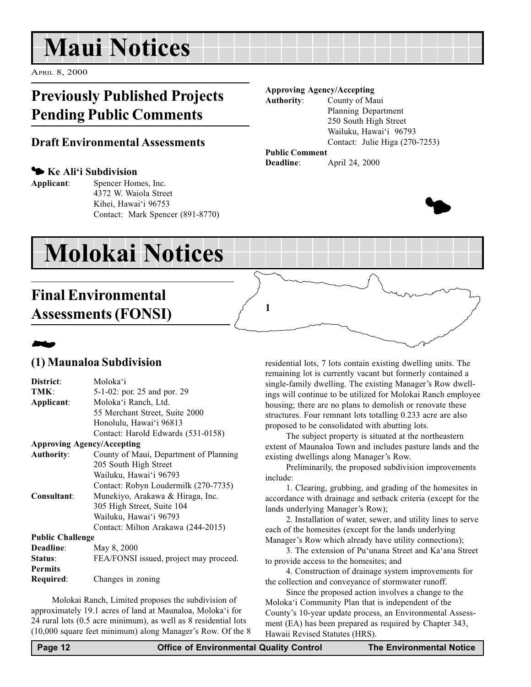## <span id="page-11-0"></span>Maui Notices

APRIL 8, 2000

### Previously Published Projects Pending Public Comments

### Draft Environmental Assessments

#### <sup>4</sup> Ke Ali'i Subdivision

Applicant: Spencer Homes, Inc. 4372 W. Waiola Street Kihei, Hawai'i 96753 Contact: Mark Spencer (891-8770)

### Molokai Notices

### Final Environmental Assessments (FONSI)

### **24**

### (1) Maunaloa Subdivision

| District:                         | Moloka'i                               |
|-----------------------------------|----------------------------------------|
| TMK:                              | 5-1-02: por. 25 and por. 29            |
| Applicant:                        | Moloka'i Ranch, Ltd.                   |
|                                   | 55 Merchant Street, Suite 2000         |
|                                   | Honolulu, Hawai'i 96813                |
|                                   | Contact: Harold Edwards (531-0158)     |
| <b>Approving Agency/Accepting</b> |                                        |
| <b>Authority:</b>                 | County of Maui, Department of Planning |
|                                   | 205 South High Street                  |
|                                   | Wailuku, Hawai'i 96793                 |
|                                   | Contact: Robyn Loudermilk (270-7735)   |
| Consultant:                       | Munekiyo, Arakawa & Hiraga, Inc.       |
|                                   | 305 High Street, Suite 104             |
|                                   | Wailuku, Hawai'i 96793                 |
|                                   | Contact: Milton Arakawa (244-2015)     |
| <b>Public Challenge</b>           |                                        |
| Deadline:                         | May 8, 2000                            |
| Status:                           | FEA/FONSI issued, project may proceed. |
| <b>Permits</b>                    |                                        |
| Required:                         | Changes in zoning                      |

Molokai Ranch, Limited proposes the subdivision of approximately 19.1 acres of land at Maunaloa, Moloka'i for 24 rural lots (0.5 acre minimum), as well as 8 residential lots  $(10,000)$  square feet minimum) along Manager's Row. Of the 8

#### Approving Agency/Accepting

| rity: | County of Maui                 |
|-------|--------------------------------|
|       | Planning Department            |
|       | 250 South High Street          |
|       | Wailuku, Hawai'i 96793         |
|       | Contact: Julie Higa (270-7253) |
|       |                                |

#### Public Comment

Autho:

1

Deadline: April 24, 2000



residential lots, 7 lots contain existing dwelling units. The remaining lot is currently vacant but formerly contained a single-family dwelling. The existing Manager's Row dwellings will continue to be utilized for Molokai Ranch employee housing; there are no plans to demolish or renovate these structures. Four remnant lots totalling 0.233 acre are also proposed to be consolidated with abutting lots.

The subject property is situated at the northeastern extent of Maunaloa Town and includes pasture lands and the existing dwellings along Manager's Row.

Preliminarily, the proposed subdivision improvements include:

1. Clearing, grubbing, and grading of the homesites in accordance with drainage and setback criteria (except for the lands underlying Manager's Row);

2. Installation of water, sewer, and utility lines to serve each of the homesites (except for the lands underlying Manager's Row which already have utility connections);

3. The extension of Pu'unana Street and Ka'ana Street to provide access to the homesites; and

4. Construction of drainage system improvements for the collection and conveyance of stormwater runoff.

Since the proposed action involves a change to the Moloka'i Community Plan that is independent of the County's 10-year update process, an Environmental Assessment (EA) has been prepared as required by Chapter 343, Hawaii Revised Statutes (HRS).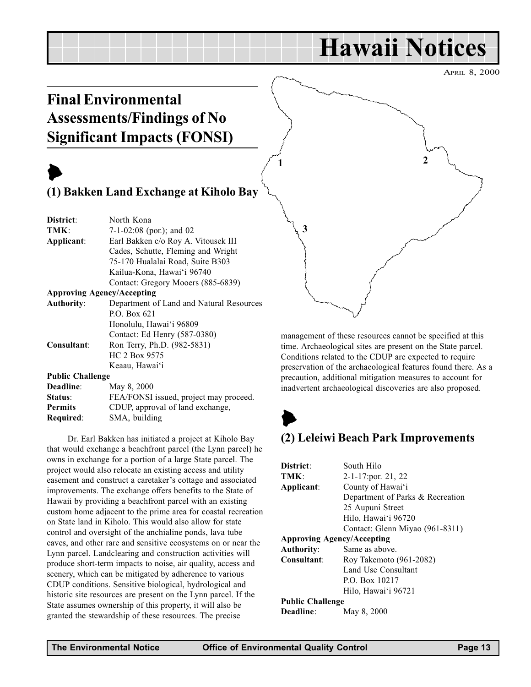### Hawaii Notices

 $\mathfrak{D}$ 

APRIL 8, 2000

### <span id="page-12-0"></span>Final Environmental Assessments/Findings of No Significant Impacts (FONSI)



### (1) Bakken Land Exchange at Kiholo Bay

| District:               | North Kona                               |
|-------------------------|------------------------------------------|
| TMK:                    | 7-1-02:08 (por.); and 02                 |
| Applicant:              | Earl Bakken c/o Roy A. Vitousek III      |
|                         | Cades, Schutte, Fleming and Wright       |
|                         | 75-170 Hualalai Road, Suite B303         |
|                         | Kailua-Kona, Hawai'i 96740               |
|                         | Contact: Gregory Mooers (885-6839)       |
|                         | <b>Approving Agency/Accepting</b>        |
| <b>Authority:</b>       | Department of Land and Natural Resources |
|                         | P.O. Box $621$                           |
|                         | Honolulu, Hawai'i 96809                  |
|                         | Contact: Ed Henry (587-0380)             |
| Consultant:             | Ron Terry, Ph.D. (982-5831)              |
|                         | HC 2 Box 9575                            |
|                         | Keaau, Hawai'i                           |
| <b>Public Challenge</b> |                                          |
| Deadline:               | May 8, 2000                              |
| Status:                 | FEA/FONSI issued, project may proceed.   |
| <b>Permits</b>          | CDUP, approval of land exchange,         |
| Required:               | SMA, building                            |

Dr. Earl Bakken has initiated a project at Kiholo Bay that would exchange a beachfront parcel (the Lynn parcel) he owns in exchange for a portion of a large State parcel. The project would also relocate an existing access and utility easement and construct a caretaker's cottage and associated improvements. The exchange offers benefits to the State of Hawaii by providing a beachfront parcel with an existing custom home adjacent to the prime area for coastal recreation on State land in Kiholo. This would also allow for state control and oversight of the anchialine ponds, lava tube caves, and other rare and sensitive ecosystems on or near the Lynn parcel. Landclearing and construction activities will produce short-term impacts to noise, air quality, access and scenery, which can be mitigated by adherence to various CDUP conditions. Sensitive biological, hydrological and historic site resources are present on the Lynn parcel. If the State assumes ownership of this property, it will also be granted the stewardship of these resources. The precise

management of these resources cannot be specified at this time. Archaeological sites are present on the State parcel. Conditions related to the CDUP are expected to require preservation of the archaeological features found there. As a precaution, additional mitigation measures to account for inadvertent archaeological discoveries are also proposed.



3

1

### (2) Leleiwi Beach Park Improvements

| District:                         | South Hilo                       |
|-----------------------------------|----------------------------------|
| TMK:                              | $2-1-17$ ; por. 21, 22           |
| Applicant:                        | County of Hawai'i                |
|                                   | Department of Parks & Recreation |
|                                   | 25 Aupuni Street                 |
|                                   | Hilo, Hawai'i 96720              |
|                                   | Contact: Glenn Miyao (961-8311)  |
| <b>Approving Agency/Accepting</b> |                                  |
| <b>Authority:</b>                 | Same as above.                   |
| Consultant:                       | Roy Takemoto (961-2082)          |
|                                   | Land Use Consultant              |
|                                   | P.O. Box 10217                   |
|                                   | Hilo, Hawai'i 96721              |
| <b>Public Challenge</b>           |                                  |
| Deadline:                         | May 8, 2000                      |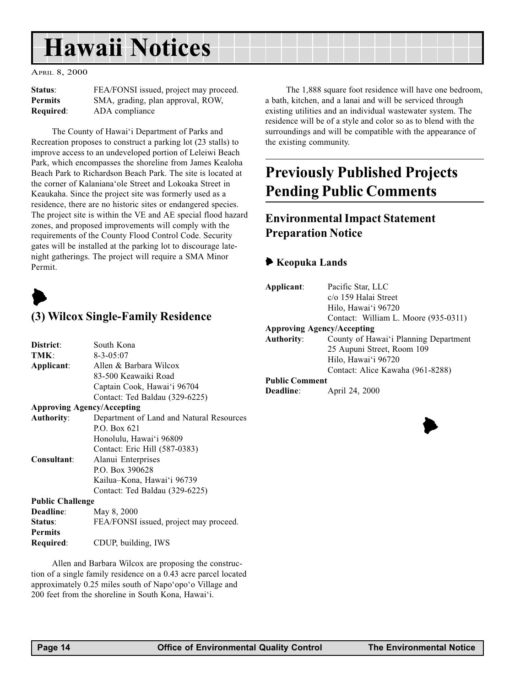## <span id="page-13-0"></span>Hawaii Notices

APRIL 8, 2000

| Status:          | FEA/FONSI issued, project may proceed. |
|------------------|----------------------------------------|
| <b>Permits</b>   | SMA, grading, plan approval, ROW,      |
| <b>Required:</b> | ADA compliance                         |

The County of Hawai'i Department of Parks and Recreation proposes to construct a parking lot (23 stalls) to improve access to an undeveloped portion of Leleiwi Beach Park, which encompasses the shoreline from James Kealoha Beach Park to Richardson Beach Park. The site is located at the corner of Kalaniana' ole Street and Lokoaka Street in Keaukaha. Since the project site was formerly used as a residence, there are no historic sites or endangered species. The project site is within the VE and AE special flood hazard zones, and proposed improvements will comply with the requirements of the County Flood Control Code. Security gates will be installed at the parking lot to discourage latenight gatherings. The project will require a SMA Minor Permit.

### $\blacktriangleright$ (3) Wilcox Single-Family Residence

| District:                         | South Kona                               |  |  |
|-----------------------------------|------------------------------------------|--|--|
| TMK:                              | $8 - 3 - 05:07$                          |  |  |
| Applicant:                        | Allen & Barbara Wilcox                   |  |  |
|                                   | 83-500 Keawaiki Road                     |  |  |
|                                   | Captain Cook, Hawai'i 96704              |  |  |
|                                   | Contact: Ted Baldau (329-6225)           |  |  |
| <b>Approving Agency/Accepting</b> |                                          |  |  |
| <b>Authority:</b>                 | Department of Land and Natural Resources |  |  |
|                                   | P.O. Box $621$                           |  |  |
|                                   | Honolulu, Hawai'i 96809                  |  |  |
|                                   | Contact: Eric Hill (587-0383)            |  |  |
| Consultant:                       | Alanui Enterprises                       |  |  |
|                                   | P.O. Box 390628                          |  |  |
|                                   | Kailua–Kona, Hawaiʻi 96739               |  |  |
|                                   | Contact: Ted Baldau (329-6225)           |  |  |
| <b>Public Challenge</b>           |                                          |  |  |
| Deadline:                         | May 8, 2000                              |  |  |
| Status:                           | FEA/FONSI issued, project may proceed.   |  |  |
| <b>Permits</b>                    |                                          |  |  |
| Required:                         | CDUP, building, IWS                      |  |  |

Allen and Barbara Wilcox are proposing the construction of a single family residence on a 0.43 acre parcel located approximately 0.25 miles south of Napo'opo'o Village and 200 feet from the shoreline in South Kona, Hawai'i.

The 1,888 square foot residence will have one bedroom, a bath, kitchen, and a lanai and will be serviced through existing utilities and an individual wastewater system. The residence will be of a style and color so as to blend with the surroundings and will be compatible with the appearance of the existing community.

### Previously Published Projects Pending Public Comments

### Environmental Impact Statement Preparation Notice

### 6 Keopuka Lands

| Applicant:            | Pacific Star, LLC                     |
|-----------------------|---------------------------------------|
|                       | $c/\sigma$ 159 Halai Street           |
|                       | Hilo, Hawai'i 96720                   |
|                       | Contact: William L. Moore (935-0311)  |
|                       | <b>Approving Agency/Accepting</b>     |
| <b>Authority:</b>     | County of Hawai'i Planning Department |
|                       | 25 Aupuni Street, Room 109            |
|                       | Hilo, Hawai'i 96720                   |
|                       | Contact: Alice Kawaha (961-8288)      |
| <b>Public Comment</b> |                                       |
| <b>Deadline:</b>      | April 24, 2000                        |

 $\blacktriangleright$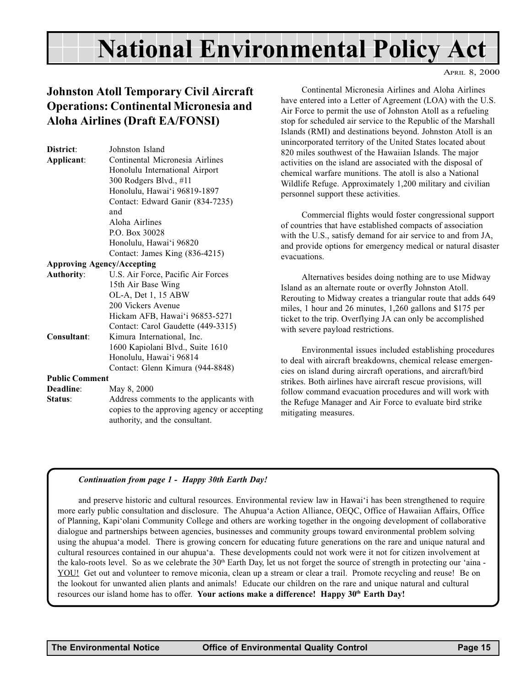## National Environmental Policy Act

APRIL 8, 2000

Continental Micronesia Airlines and Aloha Airlines have entered into a Letter of Agreement (LOA) with the U.S. Air Force to permit the use of Johnston Atoll as a refueling stop for scheduled air service to the Republic of the Marshall Islands (RMI) and destinations beyond. Johnston Atoll is an

### <span id="page-14-0"></span>Johnston Atoll Temporary Civil Aircraft Operations: Continental Micronesia and Aloha Airlines (Draft EA/FONSI)

| District:<br>Applicant:           | Johnston Island<br>Continental Micronesia Airlines<br>Honolulu International Airport<br>300 Rodgers Blvd., #11<br>Honolulu, Hawai'i 96819-1897<br>Contact: Edward Ganir (834-7235) | unincorporated territory of the United States located about<br>820 miles southwest of the Hawaiian Islands. The major<br>activities on the island are associated with the disposal of<br>chemical warfare munitions. The atoll is also a National<br>Wildlife Refuge. Approximately 1,200 military and civilian<br>personnel support these activities. |
|-----------------------------------|------------------------------------------------------------------------------------------------------------------------------------------------------------------------------------|--------------------------------------------------------------------------------------------------------------------------------------------------------------------------------------------------------------------------------------------------------------------------------------------------------------------------------------------------------|
|                                   | and<br>Aloha Airlines<br>P.O. Box 30028<br>Honolulu, Hawai'i 96820<br>Contact: James King (836-4215)                                                                               | Commercial flights would foster congressional support<br>of countries that have established compacts of association<br>with the U.S., satisfy demand for air service to and from JA,<br>and provide options for emergency medical or natural disaster<br>evacuations.                                                                                  |
| <b>Approving Agency/Accepting</b> |                                                                                                                                                                                    |                                                                                                                                                                                                                                                                                                                                                        |
| <b>Authority:</b>                 | U.S. Air Force, Pacific Air Forces<br>15th Air Base Wing<br>OL-A, Det 1, 15 ABW<br>200 Vickers Avenue<br>Hickam AFB, Hawai'i 96853-5271<br>Contact: Carol Gaudette (449-3315)      | Alternatives besides doing nothing are to use Midway<br>Island as an alternate route or overfly Johnston Atoll.<br>Rerouting to Midway creates a triangular route that adds 649<br>miles, 1 hour and 26 minutes, 1,260 gallons and \$175 per<br>ticket to the trip. Overflying JA can only be accomplished<br>with severe payload restrictions.        |
| Consultant:                       | Kimura International, Inc.<br>1600 Kapiolani Blvd., Suite 1610<br>Honolulu, Hawai'i 96814<br>Contact: Glenn Kimura (944-8848)                                                      | Environmental issues included establishing procedures<br>to deal with aircraft breakdowns, chemical release emergen-<br>cies on island during aircraft operations, and aircraft/bird                                                                                                                                                                   |
| <b>Public Comment</b>             |                                                                                                                                                                                    | strikes. Both airlines have aircraft rescue provisions, will                                                                                                                                                                                                                                                                                           |
| Deadline:<br>Status:              | May 8, 2000<br>Address comments to the applicants with<br>copies to the approving agency or accepting<br>authority, and the consultant.                                            | follow command evacuation procedures and will work with<br>the Refuge Manager and Air Force to evaluate bird strike<br>mitigating measures.                                                                                                                                                                                                            |

#### Continuation from page 1 - Happy 30th Earth Day!

and preserve historic and cultural resources. Environmental review law in Hawai'i has been strengthened to require more early public consultation and disclosure. The Ahupua'a Action Alliance, OEOC, Office of Hawaiian Affairs, Office of Planning, Kapi'olani Community College and others are working together in the ongoing development of collaborative dialogue and partnerships between agencies, businesses and community groups toward environmental problem solving using the ahupua a model. There is growing concern for educating future generations on the rare and unique natural and cultural resources contained in our ahupua'a. These developments could not work were it not for citizen involvement at the kalo-roots level. So as we celebrate the  $30<sup>th</sup>$  Earth Day, let us not forget the source of strength in protecting our 'aina -YOU! Get out and volunteer to remove miconia, clean up a stream or clear a trail. Promote recycling and reuse! Be on the lookout for unwanted alien plants and animals! Educate our children on the rare and unique natural and cultural resources our island home has to offer. Your actions make a difference! Happy  $30<sup>th</sup>$  Earth Day!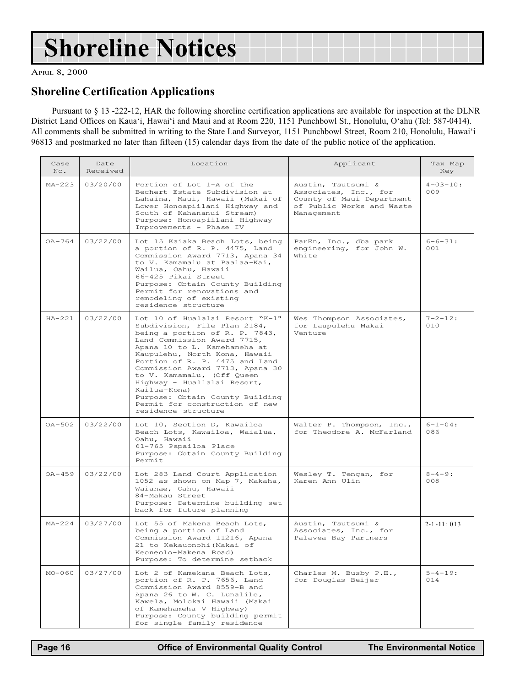## Shoreline Notices

APRIL 8, 2000

### Shoreline Certification Applications

Pursuant to § 13 -222-12, HAR the following shoreline certification applications are available for inspection at the DLNR District Land Offices on Kaua'i, Hawai'i and Maui and at Room 220, 1151 Punchbowl St., Honolulu, O'ahu (Tel: 587-0414). All comments shall be submitted in writing to the State Land Surveyor, 1151 Punchbowl Street, Room 210, Honolulu, Hawaii 96813 and postmarked no later than fifteen (15) calendar days from the date of the public notice of the application.

| Case<br>No. | Date<br>Received | Location                                                                                                                                                                                                                                                                                                                                                                                                                                        | Applicant                                                                                                           | Tax Map<br>Key        |
|-------------|------------------|-------------------------------------------------------------------------------------------------------------------------------------------------------------------------------------------------------------------------------------------------------------------------------------------------------------------------------------------------------------------------------------------------------------------------------------------------|---------------------------------------------------------------------------------------------------------------------|-----------------------|
| $MA-223$    | 03/20/00         | Portion of Lot 1-A of the<br>Bechert Estate Subdivision at<br>Lahaina, Maui, Hawaii (Makai of<br>Lower Honoapiilani Highway and<br>South of Kahananui Stream)<br>Purpose: Honoapiilani Highway<br>Improvements - Phase IV                                                                                                                                                                                                                       | Austin, Tsutsumi &<br>Associates, Inc., for<br>County of Maui Department<br>of Public Works and Waste<br>Management | $4 - 03 - 10:$<br>009 |
| $OA-764$    | 03/22/00         | Lot 15 Kaiaka Beach Lots, being<br>a portion of R. P. 4475, Land<br>Commission Award 7713, Apana 34<br>to V. Kamamalu at Paalaa-Kai,<br>Wailua, Oahu, Hawaii<br>66-425 Pikai Street<br>Purpose: Obtain County Building<br>Permit for renovations and<br>remodeling of existing<br>residence structure                                                                                                                                           | ParEn, Inc., dba park<br>engineering, for John W.<br>White                                                          | $6 - 6 - 31:$<br>001  |
| $HA-221$    | 03/22/00         | Lot 10 of Hualalai Resort "K-1"<br>Subdivision, File Plan 2184,<br>being a portion of R. P. 7843,<br>Land Commission Award 7715,<br>Apana 10 to L. Kamehameha at<br>Kaupulehu, North Kona, Hawaii<br>Portion of R. P. 4475 and Land<br>Commission Award 7713, Apana 30<br>to V. Kamamalu, (Off Queen<br>Highway - Huallalai Resort,<br>Kailua-Kona)<br>Purpose: Obtain County Building<br>Permit for construction of new<br>residence structure | Wes Thompson Associates,<br>for Laupulehu Makai<br>Venture                                                          | $7 - 2 - 12:$<br>010  |
| $OA-502$    | 03/22/00         | Lot 10, Section D, Kawailoa<br>Beach Lots, Kawailoa, Waialua,<br>Oahu, Hawaii<br>61-765 Papailoa Place<br>Purpose: Obtain County Building<br>Permit                                                                                                                                                                                                                                                                                             | Walter P. Thompson, Inc.,<br>for Theodore A. McFarland                                                              | $6 - 1 - 04$ :<br>086 |
| $OA-459$    | 03/22/00         | Lot 283 Land Court Application<br>1052 as shown on Map 7, Makaha,<br>Waianae, Oahu, Hawaii<br>84-Makau Street<br>Purpose: Determine building set<br>back for future planning                                                                                                                                                                                                                                                                    | Wesley T. Tengan, for<br>Karen Ann Ulin                                                                             | $8 - 4 - 9:$<br>008   |
| $MA-224$    | 03/27/00         | Lot 55 of Makena Beach Lots,<br>being a portion of Land<br>Commission Award 11216, Apana<br>21 to Kekauonohi(Makai of<br>Keoneolo-Makena Road)<br>Purpose: To determine setback                                                                                                                                                                                                                                                                 | Austin, Tsutsumi &<br>Associates, Inc., for<br>Palavea Bay Partners                                                 | $2 - 1 - 11 : 013$    |
| $MO-060$    | 03/27/00         | Lot 2 of Kamekana Beach Lots,<br>portion of R. P. 7656, Land<br>Commission Award 8559-B and<br>Apana 26 to W. C. Lunalilo,<br>Kawela, Molokai Hawaii (Makai<br>of Kamehameha V Highway)<br>Purpose: County building permit<br>for single family residence                                                                                                                                                                                       | Charles M. Busby P.E.,<br>for Douglas Beijer                                                                        | $5 - 4 - 19:$<br>014  |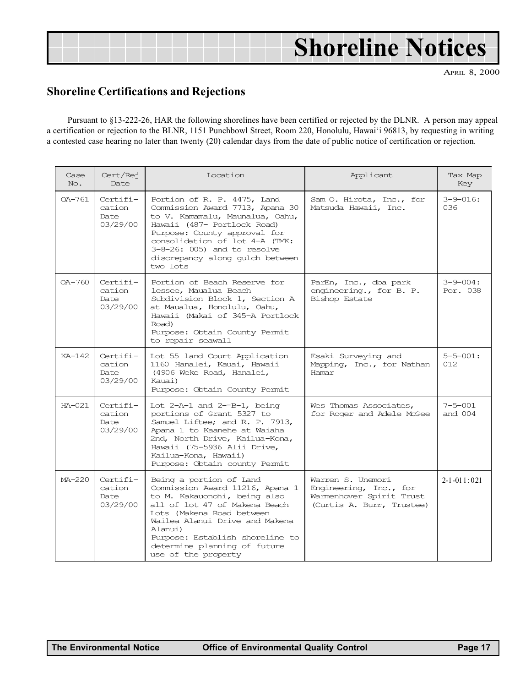## <span id="page-16-0"></span>Shoreline Notices

APRIL 8, 2000

### Shoreline Certifications and Rejections

Pursuant to §13-222-26, HAR the following shorelines have been certified or rejected by the DLNR. A person may appeal a certification or rejection to the BLNR, 1151 Punchbowl Street, Room 220, Honolulu, Hawai'i 96813, by requesting in writing a contested case hearing no later than twenty (20) calendar days from the date of public notice of certification or rejection.

| Case<br>No. | Cert/Rej<br>Date                              | Location                                                                                                                                                                                                                                                                                        | Applicant                                                                                            | Tax Map<br>Key             |
|-------------|-----------------------------------------------|-------------------------------------------------------------------------------------------------------------------------------------------------------------------------------------------------------------------------------------------------------------------------------------------------|------------------------------------------------------------------------------------------------------|----------------------------|
| OA-761      | Certifi-<br>cation<br>Date<br>03/29/00        | Portion of R. P. 4475, Land<br>Commission Award 7713, Apana 30<br>to V. Kamamalu, Maunalua, Oahu,<br>Hawaii (487- Portlock Road)<br>Purpose: County approval for<br>consolidation of lot 4-A (TMK:<br>3-8-26: 005) and to resolve<br>discrepancy along gulch between<br>two lots                | Sam O. Hirota, Inc., for<br>Matsuda Hawaii, Inc.                                                     | $3 - 9 - 016:$<br>036      |
| $OA-760$    | Certifi-<br>cation<br>Date<br>03/29/00        | Portion of Beach Reserve for<br>lessee, Maualua Beach<br>Subdivision Block 1, Section A<br>at Maualua, Honolulu, Oahu,<br>Hawaii (Makai of 345-A Portlock<br>Road)<br>Purpose: Obtain County Permit<br>to repair seawall                                                                        | ParEn, Inc., dba park<br>engineering., for B. P.<br>Bishop Estate                                    | $3 - 9 - 004:$<br>Por. 038 |
| KA-142      | Certifi-<br>cation<br>Date<br>03/29/00        | Lot 55 land Court Application<br>1160 Hanalei, Kauai, Hawaii<br>(4906 Weke Road, Hanalei,<br>Kauai)<br>Purpose: Obtain County Permit                                                                                                                                                            | Esaki Surveying and<br>Mapping, Inc., for Nathan<br>Hamar                                            | $5 - 5 - 001:$<br>012.     |
| HA-021      | Certifi-<br>cation<br><b>Date</b><br>03/29/00 | Lot $2-A-1$ and $2=-B-1$ , being<br>portions of Grant 5327 to<br>Samuel Liftee; and R. P. 7913,<br>Apana 1 to Kaanehe at Waiaha<br>2nd, North Drive, Kailua-Kona,<br>Hawaii (75-5936 Alii Drive,<br>Kailua-Kona, Hawaii)<br>Purpose: Obtain county Permit                                       | Wes Thomas Associates,<br>for Roger and Adele McGee                                                  | $7 - 5 - 001$<br>and 004   |
| MA-220      | Certifi-<br>cation<br>Date<br>03/29/00        | Being a portion of Land<br>Commission Award 11216, Apana 1<br>to M. Kakauonohi, being also<br>all of lot 47 of Makena Beach<br>Lots (Makena Road between<br>Wailea Alanui Drive and Makena<br>Alanui)<br>Purpose: Establish shoreline to<br>determine planning of future<br>use of the property | Warren S. Unemori<br>Engineering, Inc., for<br>Warmenhover Spirit Trust<br>(Curtis A. Burr, Trustee) | $2 - 1 - 011 : 021$        |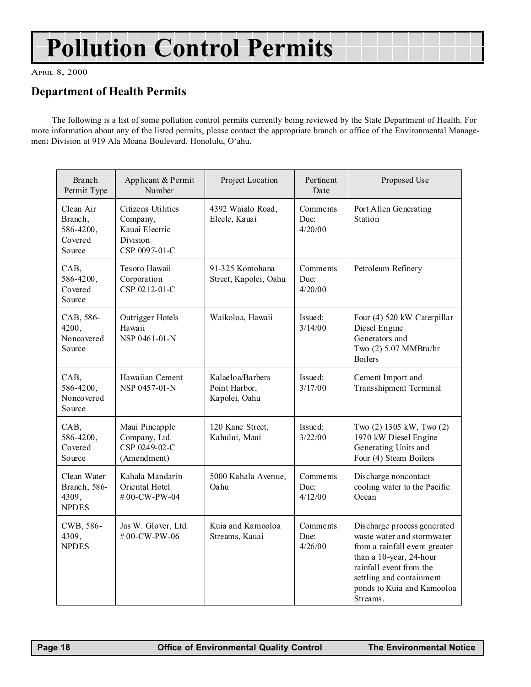## Pollution Control Permits

APRIL 8, 2000

### Department of Health Permits

The following is a list of some pollution control permits currently being reviewed by the State Department of Health. For more information about any of the listed permits, please contact the appropriate branch or office of the Environmental Management Division at 919 Ala Moana Boulevard, Honolulu, O'ahu.

| Branch<br>Permit Type                                  | Applicant & Permit<br>Number                                                         | Project Location                                   | Pertinent<br>Date           | Proposed Use                                                                                                                                                                                                           |
|--------------------------------------------------------|--------------------------------------------------------------------------------------|----------------------------------------------------|-----------------------------|------------------------------------------------------------------------------------------------------------------------------------------------------------------------------------------------------------------------|
| Clean Air<br>Branch,<br>586-4200,<br>Covered<br>Source | Citizens Utilities<br>Company,<br>Kauai Electric<br><b>Division</b><br>CSP 0097-01-C | 4392 Waialo Road,<br>Eleele, Kauai                 | Comments<br>Due:<br>4/20/00 | Port Allen Generating<br>Station                                                                                                                                                                                       |
| CAB,<br>586-4200,<br>Covered<br>Source                 | Tesoro Hawaii<br>Corporation<br>CSP 0212-01-C                                        | 91-325 Komohana<br>Street, Kapolei, Oahu           | Comments<br>Due:<br>4/20/00 | Petroleum Refinery                                                                                                                                                                                                     |
| CAB, 586-<br>4200,<br>Noncovered<br>Source             | Outrigger Hotels<br>Hawaii<br>NSP 0461-01-N                                          | Waikoloa, Hawaii                                   | Issued:<br>3/14/00          | Four (4) 520 kW Caterpillar<br>Diesel Engine<br>Generators and<br>Two (2) 5.07 MMBtu/hr<br><b>Boilers</b>                                                                                                              |
| CAB,<br>586-4200,<br>Noncovered<br>Source              | Hawaiian Cement<br>NSP 0457-01-N                                                     | Kalaeloa/Barbers<br>Point Harbor,<br>Kapolei, Oahu | Issued:<br>3/17/00          | Cement Import and<br><b>Transshipment Terminal</b>                                                                                                                                                                     |
| CAB,<br>586-4200,<br>Covered<br>Source                 | Maui Pineapple<br>Company, Ltd.<br>CSP 0249-02-C<br>(Amendment)                      | 120 Kane Street,<br>Kahului, Maui                  | Issued:<br>3/22/00          | Two (2) 1305 kW, Two (2)<br>1970 kW Diesel Engine<br>Generating Units and<br>Four (4) Steam Boilers                                                                                                                    |
| Clean Water<br>Branch, 586-<br>4309,<br><b>NPDES</b>   | Kahala Mandarin<br>Oriental Hotel<br>#00-CW-PW-04                                    | 5000 Kahala Avenue,<br>Oahu                        | Comments<br>Due:<br>4/12/00 | Discharge noncontact<br>cooling water to the Pacific<br>Ocean                                                                                                                                                          |
| CWB, 586-<br>4309,<br><b>NPDES</b>                     | Jas W. Glover, Ltd.<br>#00-CW-PW-06                                                  | Kuia and Kamooloa<br>Streams, Kauai                | Comments<br>Due:<br>4/26/00 | Discharge process generated<br>waste water and stormwater<br>from a rainfall event greater<br>than a 10-year, 24-hour<br>rainfall event from the<br>settling and containment<br>ponds to Kuia and Kamooloa<br>Streams. |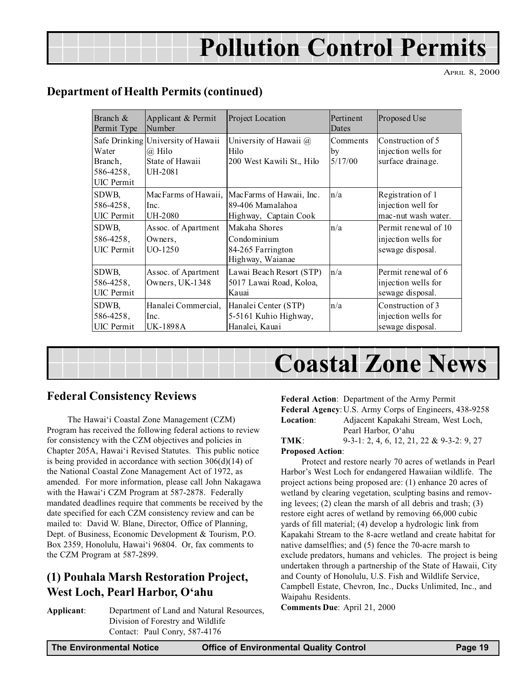## Pollution Control Permits

APRIL 8, 2000

### <span id="page-18-0"></span>Department of Health Permits (continued)

| Branch &<br>Permit Type                            | Applicant & Permit<br>Number                                                   | Project Location                                                                          | Pertinent<br>Dates        | Proposed Use                                                    |
|----------------------------------------------------|--------------------------------------------------------------------------------|-------------------------------------------------------------------------------------------|---------------------------|-----------------------------------------------------------------|
| Water<br>Branch,<br>586-4258,<br><b>UIC</b> Permit | Safe Drinking University of Hawaii<br>$(a)$ Hilo<br>State of Hawaii<br>UH-2081 | University of Hawaii @<br>Hilo<br>200 West Kawili St., Hilo                               | Comments<br>by<br>5/17/00 | Construction of 5<br>injection wells for<br>surface drainage.   |
| SDWB,<br>586-4258,<br><b>UIC</b> Permit            | Inc.<br>UH-2080                                                                | MacFarms of Hawaii, MacFarms of Hawaii, Inc.<br>89-406 Mamalahoa<br>Highway, Captain Cook | n/a                       | Registration of 1<br>injection well for<br>mac-nut wash water.  |
| SDWB,<br>586-4258,<br><b>UIC</b> Permit            | Assoc. of Apartment<br>Owners,<br>$UO-1250$                                    | Makaha Shores<br>Condominium<br>84-265 Farrington<br>Highway, Waianae                     | n/a                       | Permit renewal of 10<br>injection wells for<br>sewage disposal. |
| SDWB,<br>586-4258,<br><b>UIC</b> Permit            | Assoc. of Apartment<br>Owners, UK-1348                                         | Lawai Beach Resort (STP)<br>5017 Lawai Road, Koloa,<br>Kauai                              | n/a                       | Permit renewal of 6<br>injection wells for<br>sewage disposal.  |
| SDWB,<br>586-4258,<br>UIC Permit                   | Hanalei Commercial,<br>Inc.<br><b>UK-1898A</b>                                 | Hanalei Center (STP)<br>5-5161 Kuhio Highway,<br>Hanalei, Kauai                           | n/a                       | Construction of 3<br>injection wells for<br>sewage disposal.    |

Coastal Zone News

### Federal Consistency Reviews

The Hawai'i Coastal Zone Management (CZM) Program has received the following federal actions to review for consistency with the CZM objectives and policies in Chapter 205A, Hawai'i Revised Statutes. This public notice is being provided in accordance with section  $306(d)(14)$  of the National Coastal Zone Management Act of 1972, as amended. For more information, please call John Nakagawa with the Hawai'i CZM Program at 587-2878. Federally mandated deadlines require that comments be received by the date specified for each CZM consistency review and can be mailed to: David W. Blane, Director, Office of Planning, Dept. of Business, Economic Development & Tourism, P.O. Box 2359, Honolulu, Hawai'i 96804. Or, fax comments to the CZM Program at 587-2899.

### (1) Pouhala Marsh Restoration Project, West Loch, Pearl Harbor, O'ahu

Applicant: Department of Land and Natural Resources, Division of Forestry and Wildlife Contact: Paul Conry, 587-4176

Federal Action: Department of the Army Permit Federal Agency: U.S. Army Corps of Engineers, 438-9258 Location: Adjacent Kapakahi Stream, West Loch, Pearl Harbor, O'ahu

#### TMK: 9-3-1: 2, 4, 6, 12, 21, 22 & 9-3-2: 9, 27 Proposed Action:

Protect and restore nearly 70 acres of wetlands in Pearl Harbor's West Loch for endangered Hawaiian wildlife. The project actions being proposed are: (1) enhance 20 acres of wetland by clearing vegetation, sculpting basins and removing levees; (2) clean the marsh of all debris and trash; (3) restore eight acres of wetland by removing 66,000 cubic yards of fill material; (4) develop a hydrologic link from Kapakahi Stream to the 8-acre wetland and create habitat for native damselflies; and (5) fence the 70-acre marsh to exclude predators, humans and vehicles. The project is being undertaken through a partnership of the State of Hawaii, City and County of Honolulu, U.S. Fish and Wildlife Service, Campbell Estate, Chevron, Inc., Ducks Unlimited, Inc., and Waipahu Residents.

Comments Due: April 21, 2000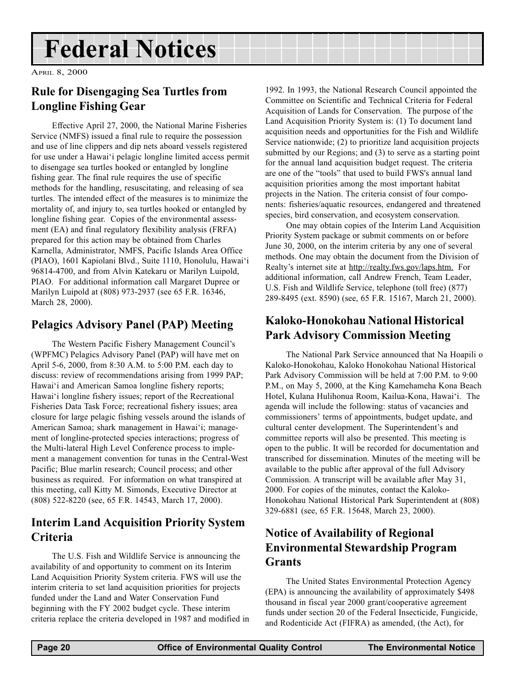## <span id="page-19-0"></span>Federal Notices

APRIL 8, 2000

### Rule for Disengaging Sea Turtles from Longline Fishing Gear

Effective April 27, 2000, the National Marine Fisheries Service (NMFS) issued a final rule to require the possession and use of line clippers and dip nets aboard vessels registered for use under a Hawai'i pelagic longline limited access permit to disengage sea turtles hooked or entangled by longline fishing gear. The final rule requires the use of specific methods for the handling, resuscitating, and releasing of sea turtles. The intended effect of the measures is to minimize the mortality of, and injury to, sea turtles hooked or entangled by longline fishing gear. Copies of the environmental assessment (EA) and final regulatory flexibility analysis (FRFA) prepared for this action may be obtained from Charles Karnella, Administrator, NMFS, Pacific Islands Area Office (PIAO), 1601 Kapiolani Blvd., Suite 1110, Honolulu, Hawai'i 96814-4700, and from Alvin Katekaru or Marilyn Luipold, PIAO. For additional information call Margaret Dupree or Marilyn Luipold at (808) 973-2937 (see 65 F.R. 16346, March 28, 2000).

### Pelagics Advisory Panel (PAP) Meeting

The Western Pacific Fishery Management Council's (WPFMC) Pelagics Advisory Panel (PAP) will have met on April 5-6, 2000, from 8:30 A.M. to 5:00 P.M. each day to discuss: review of recommendations arising from 1999 PAP; Hawai'i and American Samoa longline fishery reports; Hawai'i longline fishery issues; report of the Recreational Fisheries Data Task Force; recreational fishery issues; area closure for large pelagic fishing vessels around the islands of American Samoa; shark management in Hawai'i; management of longline-protected species interactions; progress of the Multi-lateral High Level Conference process to implement a management convention for tunas in the Central-West Pacific; Blue marlin research; Council process; and other business as required. For information on what transpired at this meeting, call Kitty M. Simonds, Executive Director at (808) 522-8220 (see, 65 F.R. 14543, March 17, 2000).

### Interim Land Acquisition Priority System **Criteria**

The U.S. Fish and Wildlife Service is announcing the availability of and opportunity to comment on its Interim Land Acquisition Priority System criteria. FWS will use the interim criteria to set land acquisition priorities for projects funded under the Land and Water Conservation Fund beginning with the FY 2002 budget cycle. These interim criteria replace the criteria developed in 1987 and modified in 1992. In 1993, the National Research Council appointed the Committee on Scientific and Technical Criteria for Federal Acquisition of Lands for Conservation. The purpose of the Land Acquisition Priority System is: (1) To document land acquisition needs and opportunities for the Fish and Wildlife Service nationwide; (2) to prioritize land acquisition projects submitted by our Regions; and (3) to serve as a starting point for the annual land acquisition budget request. The criteria are one of the "tools" that used to build FWS's annual land acquisition priorities among the most important habitat projects in the Nation. The criteria consist of four components: fisheries/aquatic resources, endangered and threatened species, bird conservation, and ecosystem conservation.

One may obtain copies of the Interim Land Acquisition Priority System package or submit comments on or before June 30, 2000, on the interim criteria by any one of several methods. One may obtain the document from the Division of Realty's internet site at http://realty.fws.gov/laps.htm. For additional information, call Andrew French, Team Leader, U.S. Fish and Wildlife Service, telephone (toll free) (877) 289-8495 (ext. 8590) (see, 65 F.R. 15167, March 21, 2000).

### Kaloko-Honokohau National Historical Park Advisory Commission Meeting

The National Park Service announced that Na Hoapili o Kaloko-Honokohau, Kaloko Honokohau National Historical Park Advisory Commission will be held at 7:00 P.M. to 9:00 P.M., on May 5, 2000, at the King Kamehameha Kona Beach Hotel, Kulana Hulihonua Room, Kailua-Kona, Hawai'i. The agenda will include the following: status of vacancies and commissioners' terms of appointments, budget update, and cultural center development. The Superintendent's and committee reports will also be presented. This meeting is open to the public. It will be recorded for documentation and transcribed for dissemination. Minutes of the meeting will be available to the public after approval of the full Advisory Commission. A transcript will be available after May 31, 2000. For copies of the minutes, contact the Kaloko-Honokohau National Historical Park Superintendent at (808) 329-6881 (see, 65 F.R. 15648, March 23, 2000).

### Notice of Availability of Regional Environmental Stewardship Program Grants

The United States Environmental Protection Agency (EPA) is announcing the availability of approximately \$498 thousand in fiscal year 2000 grant/cooperative agreement funds under section 20 of the Federal Insecticide, Fungicide, and Rodenticide Act (FIFRA) as amended, (the Act), for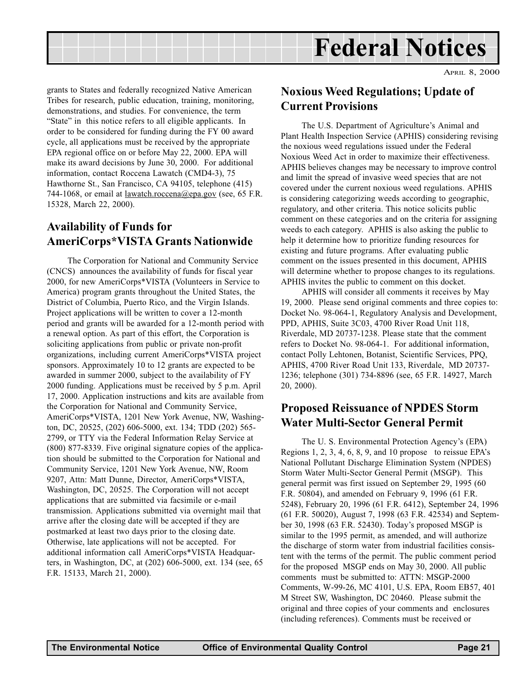<span id="page-20-0"></span>

grants to States and federally recognized Native American Tribes for research, public education, training, monitoring, demonstrations, and studies. For convenience, the term "State" in this notice refers to all eligible applicants. In order to be considered for funding during the FY 00 award cycle, all applications must be received by the appropriate EPA regional office on or before May 22, 2000. EPA will make its award decisions by June 30, 2000. For additional information, contact Roccena Lawatch (CMD4-3), 75 Hawthorne St., San Francisco, CA 94105, telephone (415) 744-1068, or email at <u>lawatch.roccena@epa.gov</u> (see, 65 F.R. 15328, March 22, 2000).

### Availability of Funds for AmeriCorps\*VISTA Grants Nationwide

The Corporation for National and Community Service (CNCS) announces the availability of funds for fiscal year 2000, for new AmeriCorps\*VISTA (Volunteers in Service to America) program grants throughout the United States, the District of Columbia, Puerto Rico, and the Virgin Islands. Project applications will be written to cover a 12-month period and grants will be awarded for a 12-month period with a renewal option. As part of this effort, the Corporation is soliciting applications from public or private non-profit organizations, including current AmeriCorps\*VISTA project sponsors. Approximately 10 to 12 grants are expected to be awarded in summer 2000, subject to the availability of FY 2000 funding. Applications must be received by 5 p.m. April 17, 2000. Application instructions and kits are available from the Corporation for National and Community Service, AmeriCorps\*VISTA, 1201 New York Avenue, NW, Washington, DC, 20525, (202) 606-5000, ext. 134; TDD (202) 565- 2799, or TTY via the Federal Information Relay Service at (800) 877-8339. Five original signature copies of the application should be submitted to the Corporation for National and Community Service, 1201 New York Avenue, NW, Room 9207, Attn: Matt Dunne, Director, AmeriCorps\*VISTA, Washington, DC, 20525. The Corporation will not accept applications that are submitted via facsimile or e-mail transmission. Applications submitted via overnight mail that arrive after the closing date will be accepted if they are postmarked at least two days prior to the closing date. Otherwise, late applications will not be accepted. For additional information call AmeriCorps\*VISTA Headquarters, in Washington, DC, at (202) 606-5000, ext. 134 (see, 65 F.R. 15133, March 21, 2000).

### Noxious Weed Regulations; Update of Current Provisions

The U.S. Department of Agriculture's Animal and Plant Health Inspection Service (APHIS) considering revising the noxious weed regulations issued under the Federal Noxious Weed Act in order to maximize their effectiveness. APHIS believes changes may be necessary to improve control and limit the spread of invasive weed species that are not covered under the current noxious weed regulations. APHIS is considering categorizing weeds according to geographic, regulatory, and other criteria. This notice solicits public comment on these categories and on the criteria for assigning weeds to each category. APHIS is also asking the public to help it determine how to prioritize funding resources for existing and future programs. After evaluating public comment on the issues presented in this document, APHIS will determine whether to propose changes to its regulations. APHIS invites the public to comment on this docket.

APHIS will consider all comments it receives by May 19, 2000. Please send original comments and three copies to: Docket No. 98-064-1, Regulatory Analysis and Development, PPD, APHIS, Suite 3C03, 4700 River Road Unit 118, Riverdale, MD 20737-1238. Please state that the comment refers to Docket No. 98-064-1. For additional information, contact Polly Lehtonen, Botanist, Scientific Services, PPQ, APHIS, 4700 River Road Unit 133, Riverdale, MD 20737- 1236; telephone (301) 734-8896 (see, 65 F.R. 14927, March 20, 2000).

### Proposed Reissuance of NPDES Storm Water Multi-Sector General Permit

The U. S. Environmental Protection Agency's (EPA) Regions 1, 2, 3, 4, 6, 8, 9, and 10 propose to reissue EPA's National Pollutant Discharge Elimination System (NPDES) Storm Water Multi-Sector General Permit (MSGP). This general permit was first issued on September 29, 1995 (60 F.R. 50804), and amended on February 9, 1996 (61 F.R. 5248), February 20, 1996 (61 F.R. 6412), September 24, 1996 (61 F.R. 50020), August 7, 1998 (63 F.R. 42534) and September 30, 1998 (63 F.R. 52430). Today's proposed MSGP is similar to the 1995 permit, as amended, and will authorize the discharge of storm water from industrial facilities consistent with the terms of the permit. The public comment period for the proposed MSGP ends on May 30, 2000. All public comments must be submitted to: ATTN: MSGP-2000 Comments, W-99-26, MC 4101, U.S. EPA, Room EB57, 401 M Street SW, Washington, DC 20460. Please submit the original and three copies of your comments and enclosures (including references). Comments must be received or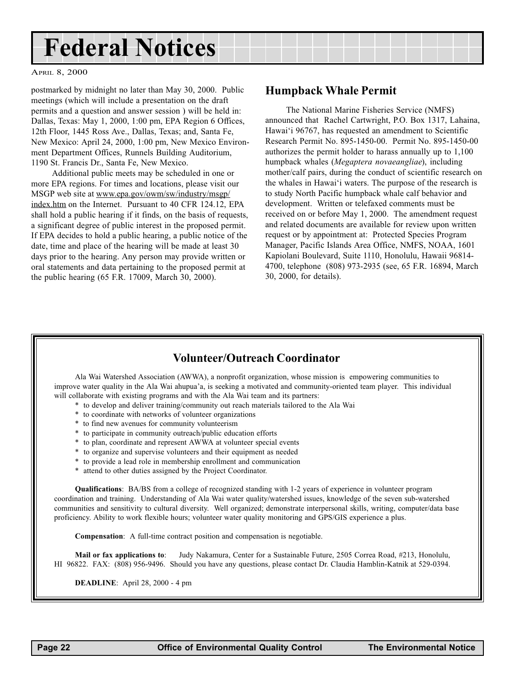## <span id="page-21-0"></span>Federal Notices

APRIL 8, 2000

postmarked by midnight no later than May 30, 2000. Public meetings (which will include a presentation on the draft permits and a question and answer session ) will be held in: Dallas, Texas: May 1, 2000, 1:00 pm, EPA Region 6 Offices, 12th Floor, 1445 Ross Ave., Dallas, Texas; and, Santa Fe, New Mexico: April 24, 2000, 1:00 pm, New Mexico Environment Department Offices, Runnels Building Auditorium, 1190 St. Francis Dr., Santa Fe, New Mexico.

Additional public meets may be scheduled in one or more EPA regions. For times and locations, please visit our MSGP web site at www.epa.gov/owm/sw/industry/msgp/ index.htm on the Internet. Pursuant to 40 CFR 124.12, EPA shall hold a public hearing if it finds, on the basis of requests, a significant degree of public interest in the proposed permit. If EPA decides to hold a public hearing, a public notice of the date, time and place of the hearing will be made at least 30 days prior to the hearing. Any person may provide written or oral statements and data pertaining to the proposed permit at the public hearing (65 F.R. 17009, March 30, 2000).

### Humpback Whale Permit

The National Marine Fisheries Service (NMFS) announced that Rachel Cartwright, P.O. Box 1317, Lahaina, Hawai'i 96767, has requested an amendment to Scientific Research Permit No. 895-1450-00. Permit No. 895-1450-00 authorizes the permit holder to harass annually up to 1,100 humpback whales (Megaptera novaeangliae), including mother/calf pairs, during the conduct of scientific research on the whales in Hawai'i waters. The purpose of the research is to study North Pacific humpback whale calf behavior and development. Written or telefaxed comments must be received on or before May 1, 2000. The amendment request and related documents are available for review upon written request or by appointment at: Protected Species Program Manager, Pacific Islands Area Office, NMFS, NOAA, 1601 Kapiolani Boulevard, Suite 1110, Honolulu, Hawaii 96814- 4700, telephone (808) 973-2935 (see, 65 F.R. 16894, March 30, 2000, for details).

### Volunteer/Outreach Coordinator

Ala Wai Watershed Association (AWWA), a nonprofit organization, whose mission is empowering communities to improve water quality in the Ala Wai ahupua'a, is seeking a motivated and community-oriented team player. This individual will collaborate with existing programs and with the Ala Wai team and its partners:

- \* to develop and deliver training/community out reach materials tailored to the Ala Wai
- \* to coordinate with networks of volunteer organizations
- \* to find new avenues for community volunteerism
- \* to participate in community outreach/public education efforts
- \* to plan, coordinate and represent AWWA at volunteer special events
- \* to organize and supervise volunteers and their equipment as needed
- \* to provide a lead role in membership enrollment and communication
- \* attend to other duties assigned by the Project Coordinator.

Qualifications: BA/BS from a college of recognized standing with 1-2 years of experience in volunteer program coordination and training. Understanding of Ala Wai water quality/watershed issues, knowledge of the seven sub-watershed communities and sensitivity to cultural diversity. Well organized; demonstrate interpersonal skills, writing, computer/data base proficiency. Ability to work flexible hours; volunteer water quality monitoring and GPS/GIS experience a plus.

Compensation: A full-time contract position and compensation is negotiable.

Mail or fax applications to: Judy Nakamura, Center for a Sustainable Future, 2505 Correa Road, #213, Honolulu, HI 96822. FAX: (808) 956-9496. Should you have any questions, please contact Dr. Claudia Hamblin-Katnik at 529-0394.

DEADLINE: April 28, 2000 - 4 pm